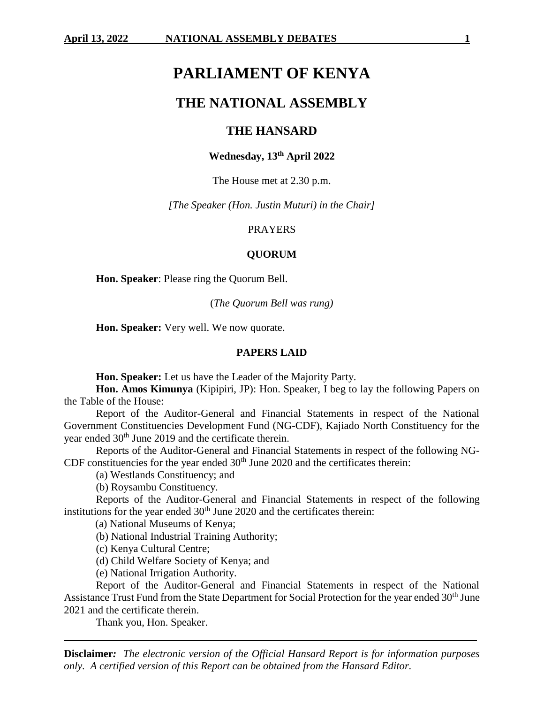# **PARLIAMENT OF KENYA**

# **THE NATIONAL ASSEMBLY**

# **THE HANSARD**

# **Wednesday, 13th April 2022**

The House met at 2.30 p.m.

*[The Speaker (Hon. Justin Muturi) in the Chair]*

### PRAYERS

### **QUORUM**

**Hon. Speaker**: Please ring the Quorum Bell.

(*The Quorum Bell was rung)*

**Hon. Speaker:** Very well. We now quorate.

#### **PAPERS LAID**

**Hon. Speaker:** Let us have the Leader of the Majority Party.

**Hon. Amos Kimunya** (Kipipiri, JP): Hon. Speaker, I beg to lay the following Papers on the Table of the House:

Report of the Auditor-General and Financial Statements in respect of the National Government Constituencies Development Fund (NG-CDF), Kajiado North Constituency for the year ended 30<sup>th</sup> June 2019 and the certificate therein.

Reports of the Auditor-General and Financial Statements in respect of the following NG-CDF constituencies for the year ended  $30<sup>th</sup>$  June 2020 and the certificates therein:

(a) Westlands Constituency; and

(b) Roysambu Constituency.

Reports of the Auditor-General and Financial Statements in respect of the following institutions for the year ended  $30<sup>th</sup>$  June 2020 and the certificates therein:

(a) National Museums of Kenya;

(b) National Industrial Training Authority;

(c) Kenya Cultural Centre;

(d) Child Welfare Society of Kenya; and

(e) National Irrigation Authority.

Report of the Auditor-General and Financial Statements in respect of the National Assistance Trust Fund from the State Department for Social Protection for the year ended 30<sup>th</sup> June 2021 and the certificate therein.

Thank you, Hon. Speaker.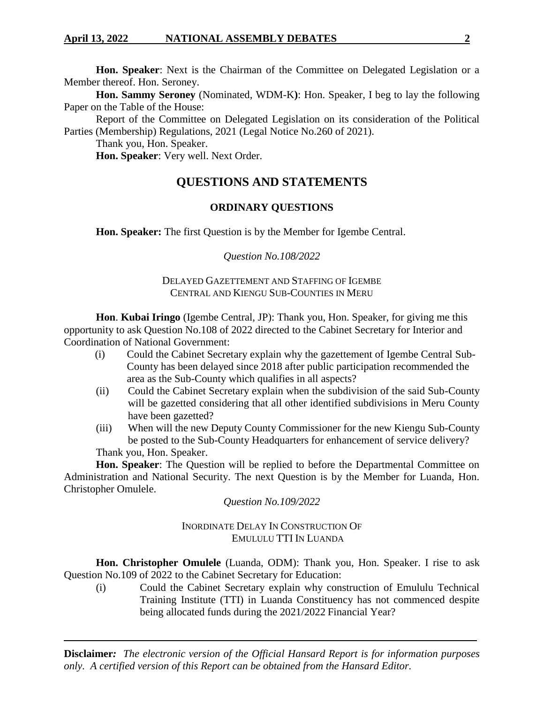**Hon. Speaker**: Next is the Chairman of the Committee on Delegated Legislation or a Member thereof. Hon. Seroney.

**Hon. Sammy Seroney** (Nominated, WDM-K**)**: Hon. Speaker, I beg to lay the following Paper on the Table of the House:

Report of the Committee on Delegated Legislation on its consideration of the Political Parties (Membership) Regulations, 2021 (Legal Notice No.260 of 2021).

Thank you, Hon. Speaker.

**Hon. Speaker**: Very well. Next Order.

# **QUESTIONS AND STATEMENTS**

# **ORDINARY QUESTIONS**

**Hon. Speaker:** The first Question is by the Member for Igembe Central.

# *Question No.108/2022*

# DELAYED GAZETTEMENT AND STAFFING OF IGEMBE CENTRAL AND KIENGU SUB-COUNTIES IN MERU

**Hon**. **Kubai Iringo** (Igembe Central, JP): Thank you, Hon. Speaker, for giving me this opportunity to ask Question No.108 of 2022 directed to the Cabinet Secretary for Interior and Coordination of National Government:

- (i) Could the Cabinet Secretary explain why the gazettement of Igembe Central Sub-County has been delayed since 2018 after public participation recommended the area as the Sub-County which qualifies in all aspects?
- (ii) Could the Cabinet Secretary explain when the subdivision of the said Sub-County will be gazetted considering that all other identified subdivisions in Meru County have been gazetted?
- (iii) When will the new Deputy County Commissioner for the new Kiengu Sub-County be posted to the Sub-County Headquarters for enhancement of service delivery? Thank you, Hon. Speaker.

**Hon. Speaker**: The Question will be replied to before the Departmental Committee on Administration and National Security. The next Question is by the Member for Luanda, Hon. Christopher Omulele.

# *Question No.109/2022*

# INORDINATE DELAY IN CONSTRUCTION OF EMULULU TTI IN LUANDA

**Hon. Christopher Omulele** (Luanda, ODM): Thank you, Hon. Speaker. I rise to ask Question No.109 of 2022 to the Cabinet Secretary for Education:

(i) Could the Cabinet Secretary explain why construction of Emululu Technical Training Institute (TTI) in Luanda Constituency has not commenced despite being allocated funds during the 2021/2022 Financial Year?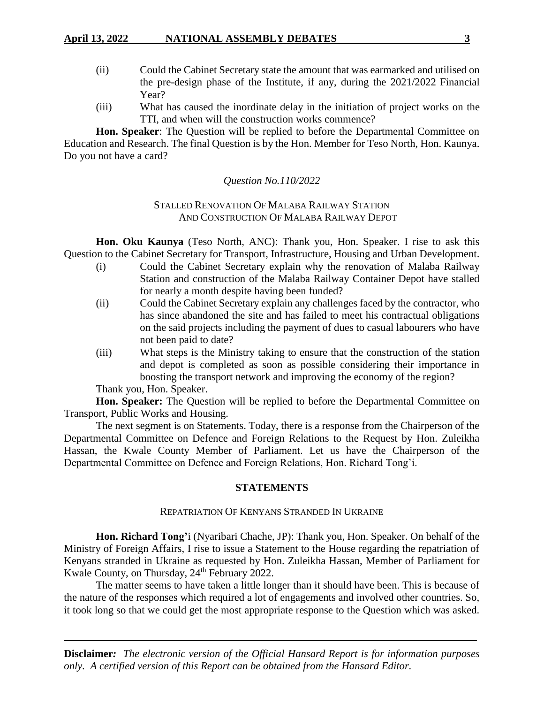# **April 13, 2022 NATIONAL ASSEMBLY DEBATES 3**

- (ii) Could the Cabinet Secretary state the amount that was earmarked and utilised on the pre-design phase of the Institute, if any, during the 2021/2022 Financial Year?
- (iii) What has caused the inordinate delay in the initiation of project works on the TTI, and when will the construction works commence?

**Hon. Speaker**: The Question will be replied to before the Departmental Committee on Education and Research. The final Question is by the Hon. Member for Teso North, Hon. Kaunya. Do you not have a card?

# *Question No.110/2022*

# STALLED RENOVATION OF MALABA RAILWAY STATION AND CONSTRUCTION OF MALABA RAILWAY DEPOT

**Hon. Oku Kaunya** (Teso North, ANC): Thank you, Hon. Speaker. I rise to ask this Question to the Cabinet Secretary for Transport, Infrastructure, Housing and Urban Development.

- (i) Could the Cabinet Secretary explain why the renovation of Malaba Railway Station and construction of the Malaba Railway Container Depot have stalled for nearly a month despite having been funded?
- (ii) Could the Cabinet Secretary explain any challenges faced by the contractor, who has since abandoned the site and has failed to meet his contractual obligations on the said projects including the payment of dues to casual labourers who have not been paid to date?
- (iii) What steps is the Ministry taking to ensure that the construction of the station and depot is completed as soon as possible considering their importance in boosting the transport network and improving the economy of the region?

Thank you, Hon. Speaker.

**Hon. Speaker:** The Question will be replied to before the Departmental Committee on Transport, Public Works and Housing.

The next segment is on Statements. Today, there is a response from the Chairperson of the Departmental Committee on Defence and Foreign Relations to the Request by Hon. Zuleikha Hassan, the Kwale County Member of Parliament. Let us have the Chairperson of the Departmental Committee on Defence and Foreign Relations, Hon. Richard Tong'i.

# **STATEMENTS**

# REPATRIATION OF KENYANS STRANDED IN UKRAINE

**Hon. Richard Tong'**i (Nyaribari Chache, JP): Thank you, Hon. Speaker. On behalf of the Ministry of Foreign Affairs, I rise to issue a Statement to the House regarding the repatriation of Kenyans stranded in Ukraine as requested by Hon. Zuleikha Hassan, Member of Parliament for Kwale County, on Thursday, 24<sup>th</sup> February 2022.

The matter seems to have taken a little longer than it should have been. This is because of the nature of the responses which required a lot of engagements and involved other countries. So, it took long so that we could get the most appropriate response to the Question which was asked.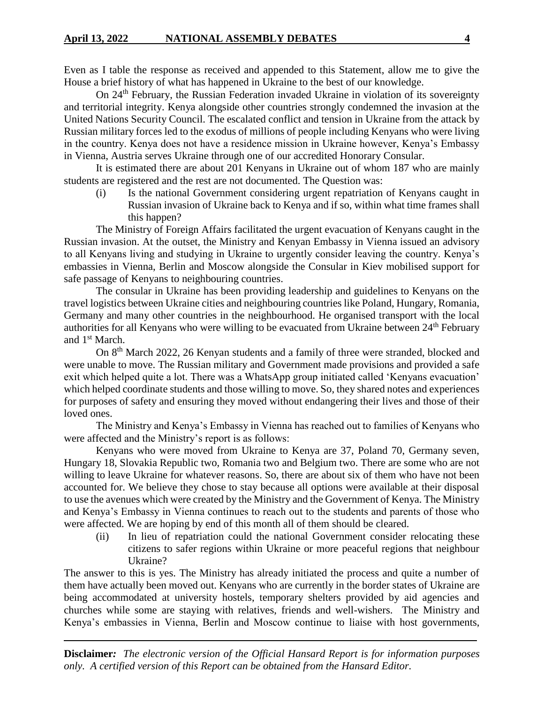Even as I table the response as received and appended to this Statement, allow me to give the House a brief history of what has happened in Ukraine to the best of our knowledge.

On 24<sup>th</sup> February, the Russian Federation invaded Ukraine in violation of its sovereignty and territorial integrity. Kenya alongside other countries strongly condemned the invasion at the United Nations Security Council. The escalated conflict and tension in Ukraine from the attack by Russian military forces led to the exodus of millions of people including Kenyans who were living in the country. Kenya does not have a residence mission in Ukraine however, Kenya's Embassy in Vienna, Austria serves Ukraine through one of our accredited Honorary Consular.

It is estimated there are about 201 Kenyans in Ukraine out of whom 187 who are mainly students are registered and the rest are not documented. The Question was:

(i) Is the national Government considering urgent repatriation of Kenyans caught in Russian invasion of Ukraine back to Kenya and if so, within what time frames shall this happen?

The Ministry of Foreign Affairs facilitated the urgent evacuation of Kenyans caught in the Russian invasion. At the outset, the Ministry and Kenyan Embassy in Vienna issued an advisory to all Kenyans living and studying in Ukraine to urgently consider leaving the country. Kenya's embassies in Vienna, Berlin and Moscow alongside the Consular in Kiev mobilised support for safe passage of Kenyans to neighbouring countries.

The consular in Ukraine has been providing leadership and guidelines to Kenyans on the travel logistics between Ukraine cities and neighbouring countries like Poland, Hungary, Romania, Germany and many other countries in the neighbourhood. He organised transport with the local authorities for all Kenyans who were willing to be evacuated from Ukraine between 24<sup>th</sup> February and 1st March.

On 8<sup>th</sup> March 2022, 26 Kenyan students and a family of three were stranded, blocked and were unable to move. The Russian military and Government made provisions and provided a safe exit which helped quite a lot. There was a WhatsApp group initiated called 'Kenyans evacuation' which helped coordinate students and those willing to move. So, they shared notes and experiences for purposes of safety and ensuring they moved without endangering their lives and those of their loved ones.

The Ministry and Kenya's Embassy in Vienna has reached out to families of Kenyans who were affected and the Ministry's report is as follows:

Kenyans who were moved from Ukraine to Kenya are 37, Poland 70, Germany seven, Hungary 18, Slovakia Republic two, Romania two and Belgium two. There are some who are not willing to leave Ukraine for whatever reasons. So, there are about six of them who have not been accounted for. We believe they chose to stay because all options were available at their disposal to use the avenues which were created by the Ministry and the Government of Kenya. The Ministry and Kenya's Embassy in Vienna continues to reach out to the students and parents of those who were affected. We are hoping by end of this month all of them should be cleared.

(ii) In lieu of repatriation could the national Government consider relocating these citizens to safer regions within Ukraine or more peaceful regions that neighbour Ukraine?

The answer to this is yes. The Ministry has already initiated the process and quite a number of them have actually been moved out. Kenyans who are currently in the border states of Ukraine are being accommodated at university hostels, temporary shelters provided by aid agencies and churches while some are staying with relatives, friends and well-wishers. The Ministry and Kenya's embassies in Vienna, Berlin and Moscow continue to liaise with host governments,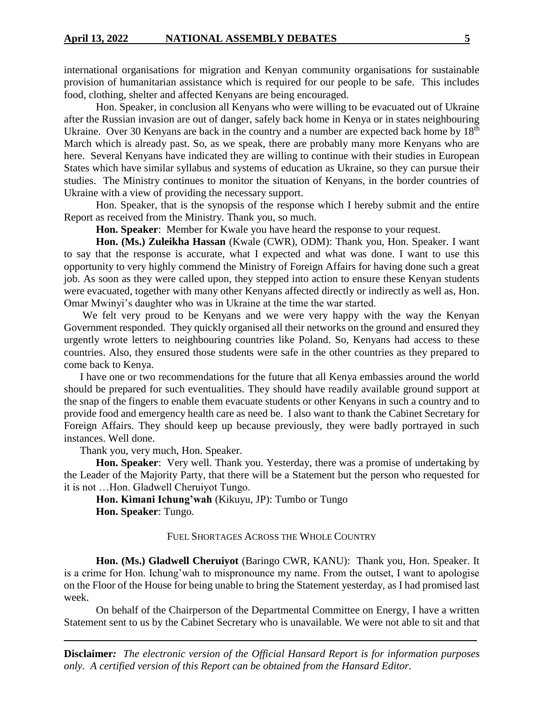international organisations for migration and Kenyan community organisations for sustainable provision of humanitarian assistance which is required for our people to be safe. This includes food, clothing, shelter and affected Kenyans are being encouraged.

Hon. Speaker, in conclusion all Kenyans who were willing to be evacuated out of Ukraine after the Russian invasion are out of danger, safely back home in Kenya or in states neighbouring Ukraine. Over 30 Kenyans are back in the country and a number are expected back home by 18<sup>th</sup> March which is already past. So, as we speak, there are probably many more Kenyans who are here. Several Kenyans have indicated they are willing to continue with their studies in European States which have similar syllabus and systems of education as Ukraine, so they can pursue their studies. The Ministry continues to monitor the situation of Kenyans, in the border countries of Ukraine with a view of providing the necessary support.

Hon. Speaker, that is the synopsis of the response which I hereby submit and the entire Report as received from the Ministry. Thank you, so much.

**Hon. Speaker**: Member for Kwale you have heard the response to your request.

**Hon. (Ms.) Zuleikha Hassan** (Kwale (CWR), ODM): Thank you, Hon. Speaker. I want to say that the response is accurate, what I expected and what was done. I want to use this opportunity to very highly commend the Ministry of Foreign Affairs for having done such a great job. As soon as they were called upon, they stepped into action to ensure these Kenyan students were evacuated, together with many other Kenyans affected directly or indirectly as well as, Hon. Omar Mwinyi's daughter who was in Ukraine at the time the war started.

We felt very proud to be Kenyans and we were very happy with the way the Kenyan Government responded. They quickly organised all their networks on the ground and ensured they urgently wrote letters to neighbouring countries like Poland. So, Kenyans had access to these countries. Also, they ensured those students were safe in the other countries as they prepared to come back to Kenya.

I have one or two recommendations for the future that all Kenya embassies around the world should be prepared for such eventualities. They should have readily available ground support at the snap of the fingers to enable them evacuate students or other Kenyans in such a country and to provide food and emergency health care as need be. I also want to thank the Cabinet Secretary for Foreign Affairs. They should keep up because previously, they were badly portrayed in such instances. Well done.

Thank you, very much, Hon. Speaker.

**Hon. Speaker**: Very well. Thank you. Yesterday, there was a promise of undertaking by the Leader of the Majority Party, that there will be a Statement but the person who requested for it is not …Hon. Gladwell Cheruiyot Tungo.

**Hon. Kimani Ichung'wah** (Kikuyu, JP): Tumbo or Tungo **Hon. Speaker**: Tungo.

FUEL SHORTAGES ACROSS THE WHOLE COUNTRY

**Hon. (Ms.) Gladwell Cheruiyot** (Baringo CWR, KANU): Thank you, Hon. Speaker. It is a crime for Hon. Ichung'wah to mispronounce my name. From the outset, I want to apologise on the Floor of the House for being unable to bring the Statement yesterday, as I had promised last week.

On behalf of the Chairperson of the Departmental Committee on Energy, I have a written Statement sent to us by the Cabinet Secretary who is unavailable. We were not able to sit and that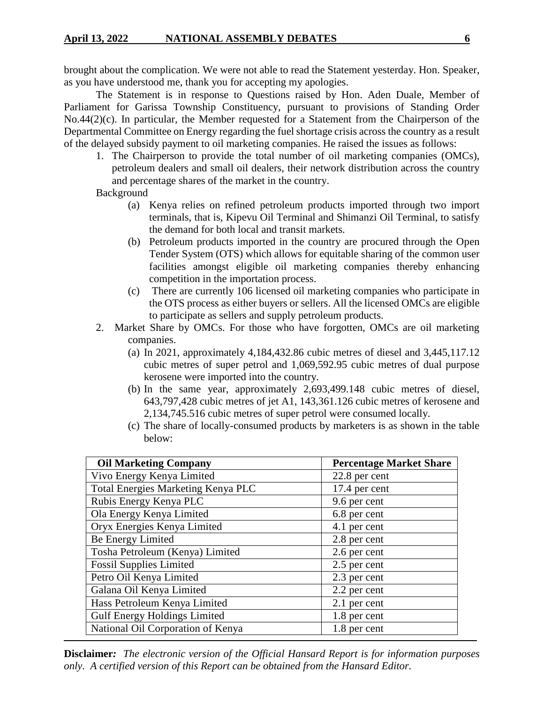brought about the complication. We were not able to read the Statement yesterday. Hon. Speaker, as you have understood me, thank you for accepting my apologies.

The Statement is in response to Questions raised by Hon. Aden Duale, Member of Parliament for Garissa Township Constituency, pursuant to provisions of Standing Order No.44(2)(c). In particular, the Member requested for a Statement from the Chairperson of the Departmental Committee on Energy regarding the fuel shortage crisis across the country as a result of the delayed subsidy payment to oil marketing companies. He raised the issues as follows:

1. The Chairperson to provide the total number of oil marketing companies (OMCs), petroleum dealers and small oil dealers, their network distribution across the country and percentage shares of the market in the country.

**Background** 

- (a) Kenya relies on refined petroleum products imported through two import terminals, that is, Kipevu Oil Terminal and Shimanzi Oil Terminal, to satisfy the demand for both local and transit markets.
- (b) Petroleum products imported in the country are procured through the Open Tender System (OTS) which allows for equitable sharing of the common user facilities amongst eligible oil marketing companies thereby enhancing competition in the importation process.
- (c) There are currently 106 licensed oil marketing companies who participate in the OTS process as either buyers or sellers. All the licensed OMCs are eligible to participate as sellers and supply petroleum products.
- 2. Market Share by OMCs. For those who have forgotten, OMCs are oil marketing companies.
	- (a) In 2021, approximately 4,184,432.86 cubic metres of diesel and 3,445,117.12 cubic metres of super petrol and 1,069,592.95 cubic metres of dual purpose kerosene were imported into the country.
	- (b) In the same year, approximately 2,693,499.148 cubic metres of diesel, 643,797,428 cubic metres of jet A1, 143,361.126 cubic metres of kerosene and 2,134,745.516 cubic metres of super petrol were consumed locally.
	- (c) The share of locally-consumed products by marketers is as shown in the table below:

| <b>Oil Marketing Company</b>        | <b>Percentage Market Share</b> |  |  |
|-------------------------------------|--------------------------------|--|--|
| Vivo Energy Kenya Limited           | 22.8 per cent                  |  |  |
| Total Energies Marketing Kenya PLC  | 17.4 per cent                  |  |  |
| Rubis Energy Kenya PLC              | 9.6 per cent                   |  |  |
| Ola Energy Kenya Limited            | 6.8 per cent                   |  |  |
| Oryx Energies Kenya Limited         | 4.1 per cent                   |  |  |
| Be Energy Limited                   | 2.8 per cent                   |  |  |
| Tosha Petroleum (Kenya) Limited     | 2.6 per cent                   |  |  |
| <b>Fossil Supplies Limited</b>      | 2.5 per cent                   |  |  |
| Petro Oil Kenya Limited             | 2.3 per cent                   |  |  |
| Galana Oil Kenya Limited            | 2.2 per cent                   |  |  |
| Hass Petroleum Kenya Limited        | 2.1 per cent                   |  |  |
| <b>Gulf Energy Holdings Limited</b> | 1.8 per cent                   |  |  |
| National Oil Corporation of Kenya   | 1.8 per cent                   |  |  |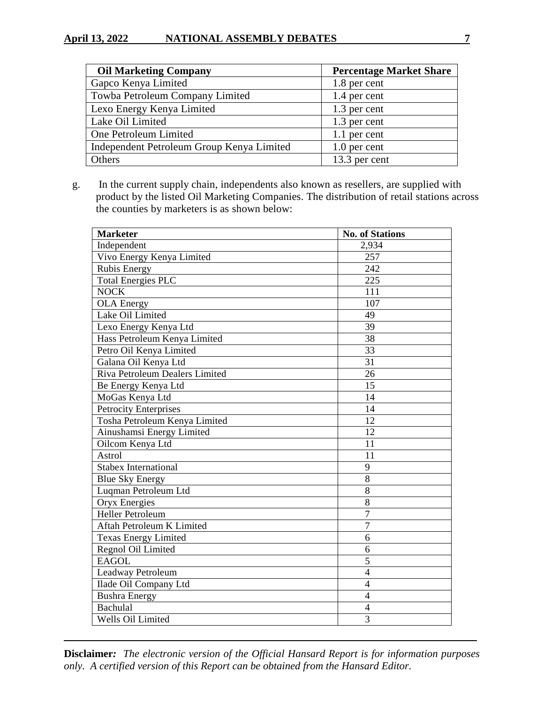# **April 13, 2022 • NATIONAL ASSEMBLY DEBATES 7**

| <b>Oil Marketing Company</b>              | <b>Percentage Market Share</b> |
|-------------------------------------------|--------------------------------|
| Gapco Kenya Limited                       | 1.8 per cent                   |
| Towba Petroleum Company Limited           | 1.4 per cent                   |
| Lexo Energy Kenya Limited                 | 1.3 per cent                   |
| Lake Oil Limited                          | 1.3 per cent                   |
| One Petroleum Limited                     | 1.1 per cent                   |
| Independent Petroleum Group Kenya Limited | 1.0 per cent                   |
| Others                                    | 13.3 per cent                  |

 g. In the current supply chain, independents also known as resellers, are supplied with product by the listed Oil Marketing Companies. The distribution of retail stations across the counties by marketers is as shown below:

| <b>Marketer</b>                       | <b>No. of Stations</b> |
|---------------------------------------|------------------------|
| Independent                           | 2,934                  |
| Vivo Energy Kenya Limited             | 257                    |
| <b>Rubis Energy</b>                   | 242                    |
| <b>Total Energies PLC</b>             | 225                    |
| <b>NOCK</b>                           | 111                    |
| <b>OLA</b> Energy                     | 107                    |
| Lake Oil Limited                      | 49                     |
| Lexo Energy Kenya Ltd                 | 39                     |
| Hass Petroleum Kenya Limited          | 38                     |
| Petro Oil Kenya Limited               | 33                     |
| Galana Oil Kenya Ltd                  | 31                     |
| <b>Riva Petroleum Dealers Limited</b> | 26                     |
| Be Energy Kenya Ltd                   | 15                     |
| MoGas Kenya Ltd                       | 14                     |
| <b>Petrocity Enterprises</b>          | 14                     |
| Tosha Petroleum Kenya Limited         | 12                     |
| Ainushamsi Energy Limited             | 12                     |
| Oilcom Kenya Ltd                      | 11                     |
| Astrol                                | 11                     |
| <b>Stabex International</b>           | 9                      |
| <b>Blue Sky Energy</b>                | 8                      |
| Luqman Petroleum Ltd                  | 8                      |
| <b>Oryx Energies</b>                  | 8                      |
| <b>Heller Petroleum</b>               | $\overline{7}$         |
| Aftah Petroleum K Limited             | $\overline{7}$         |
| <b>Texas Energy Limited</b>           | 6                      |
| Regnol Oil Limited                    | 6                      |
| <b>EAGOL</b>                          | 5                      |
| Leadway Petroleum                     | $\overline{4}$         |
| Ilade Oil Company Ltd                 | $\overline{4}$         |
| <b>Bushra Energy</b>                  | $\overline{4}$         |
| Bachulal                              | 4                      |
| Wells Oil Limited                     | 3                      |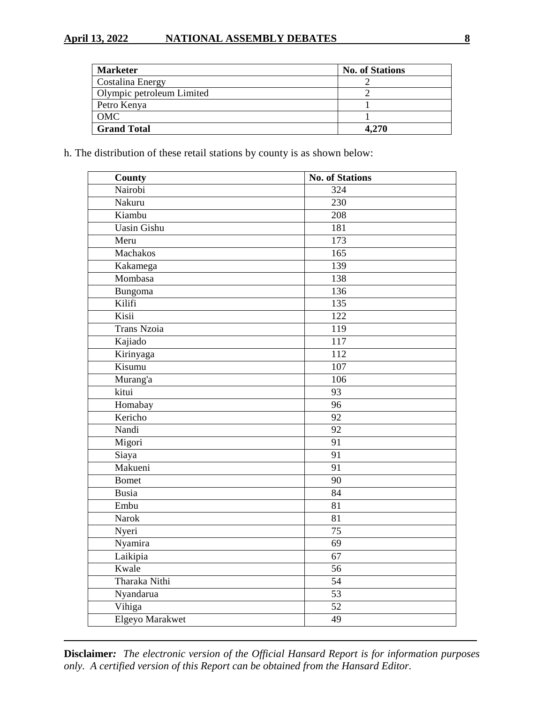# **April 13, 2022 NATIONAL ASSEMBLY DEBATES 8**

| <b>Marketer</b>           | <b>No. of Stations</b> |
|---------------------------|------------------------|
| Costalina Energy          |                        |
| Olympic petroleum Limited |                        |
| Petro Kenya               |                        |
| OMC                       |                        |
| <b>Grand Total</b>        | 4,270                  |

h. The distribution of these retail stations by county is as shown below:

| <b>County</b>      | <b>No. of Stations</b> |
|--------------------|------------------------|
| Nairobi            | 324                    |
| Nakuru             | 230                    |
| Kiambu             | 208                    |
| <b>Uasin Gishu</b> | 181                    |
| Meru               | 173                    |
| Machakos           | $\overline{165}$       |
| Kakamega           | 139                    |
| Mombasa            | 138                    |
| Bungoma            | 136                    |
| Kilifi             | $\overline{135}$       |
| Kisii              | 122                    |
| <b>Trans Nzoia</b> | 119                    |
| Kajiado            | $\overline{117}$       |
| Kirinyaga          | 112                    |
| Kisumu             | 107                    |
| Murang'a           | 106                    |
| kitui              | $\overline{93}$        |
| Homabay            | $\overline{96}$        |
| Kericho            | $\overline{92}$        |
| Nandi              | 92                     |
| Migori             | $\overline{91}$        |
| Siaya              | $\overline{91}$        |
| Makueni            | $\overline{91}$        |
| <b>Bomet</b>       | $\overline{90}$        |
| Busia              | $\overline{84}$        |
| Embu               | 81                     |
| <b>Narok</b>       | 81                     |
| Nyeri              | 75                     |
| Nyamira            | $\overline{69}$        |
| Laikipia           | $\overline{67}$        |
| Kwale              | 56                     |
| Tharaka Nithi      | $\overline{54}$        |
| Nyandarua          | $\overline{53}$        |
| Vihiga             | $\overline{52}$        |
| Elgeyo Marakwet    | $\overline{49}$        |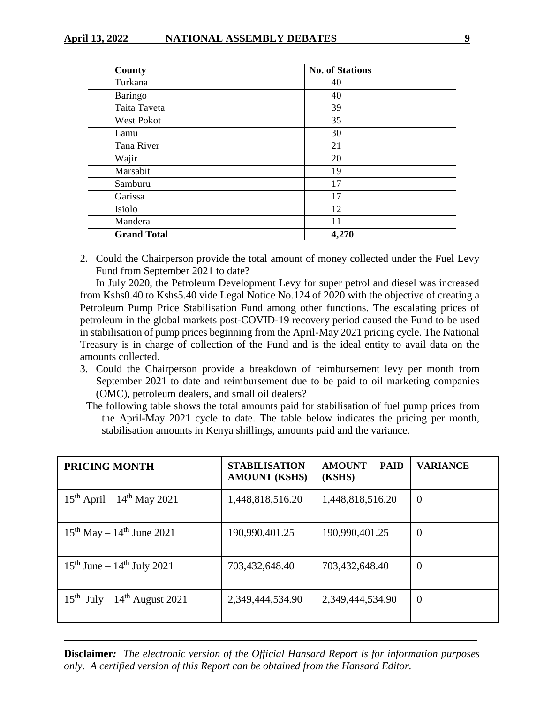| County             | <b>No. of Stations</b> |
|--------------------|------------------------|
| Turkana            | 40                     |
| <b>Baringo</b>     | 40                     |
| Taita Taveta       | 39                     |
| <b>West Pokot</b>  | 35                     |
| Lamu               | 30                     |
| Tana River         | 21                     |
| Wajir              | 20                     |
| Marsabit           | 19                     |
| Samburu            | 17                     |
| Garissa            | 17                     |
| Isiolo             | 12                     |
| Mandera            | 11                     |
| <b>Grand Total</b> | 4,270                  |

2. Could the Chairperson provide the total amount of money collected under the Fuel Levy Fund from September 2021 to date?

In July 2020, the Petroleum Development Levy for super petrol and diesel was increased from Kshs0.40 to Kshs5.40 vide Legal Notice No.124 of 2020 with the objective of creating a Petroleum Pump Price Stabilisation Fund among other functions. The escalating prices of petroleum in the global markets post-COVID-19 recovery period caused the Fund to be used in stabilisation of pump prices beginning from the April-May 2021 pricing cycle. The National Treasury is in charge of collection of the Fund and is the ideal entity to avail data on the amounts collected.

- 3. Could the Chairperson provide a breakdown of reimbursement levy per month from September 2021 to date and reimbursement due to be paid to oil marketing companies (OMC), petroleum dealers, and small oil dealers?
- The following table shows the total amounts paid for stabilisation of fuel pump prices from the April-May 2021 cycle to date. The table below indicates the pricing per month, stabilisation amounts in Kenya shillings, amounts paid and the variance.

| <b>PRICING MONTH</b>                   | <b>STABILISATION</b><br><b>AMOUNT (KSHS)</b> | <b>AMOUNT</b><br><b>PAID</b><br>(KSHS) | <b>VARIANCE</b> |
|----------------------------------------|----------------------------------------------|----------------------------------------|-----------------|
| $15^{th}$ April – $14^{th}$ May 2021   | 1,448,818,516.20                             | 1,448,818,516.20                       | $\overline{0}$  |
| $15^{th}$ May – $14^{th}$ June 2021    | 190,990,401.25                               | 190,990,401.25                         | $\theta$        |
| $15^{th}$ June – $14^{th}$ July 2021   | 703,432,648.40                               | 703,432,648.40                         | $\overline{0}$  |
| $15^{th}$ July – $14^{th}$ August 2021 | 2,349,444,534.90                             | 2,349,444,534.90                       | $\overline{0}$  |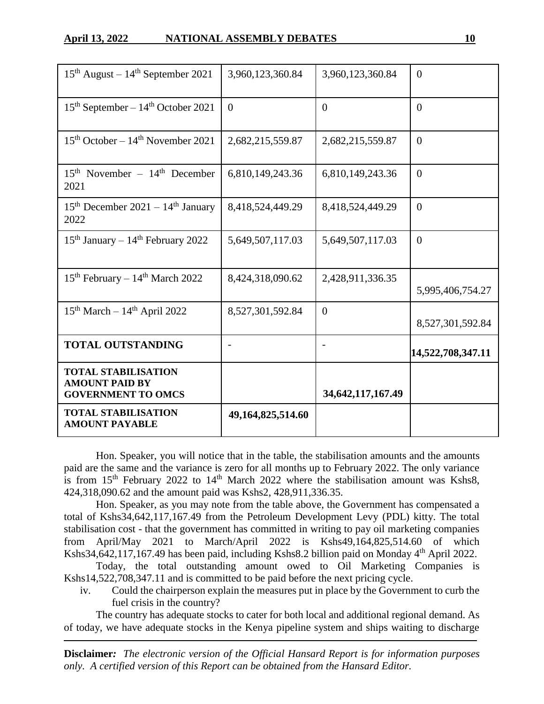| <b>TOTAL STABILISATION</b><br><b>AMOUNT PAYABLE</b>                              | 49,164,825,514.60 |                       |                   |
|----------------------------------------------------------------------------------|-------------------|-----------------------|-------------------|
| <b>TOTAL STABILISATION</b><br><b>AMOUNT PAID BY</b><br><b>GOVERNMENT TO OMCS</b> |                   | 34, 642, 117, 167. 49 |                   |
| <b>TOTAL OUTSTANDING</b>                                                         |                   |                       | 14,522,708,347.11 |
| $15th March - 14th April 2022$                                                   | 8,527,301,592.84  | $\theta$              | 8,527,301,592.84  |
| $15th$ February – $14th$ March 2022                                              | 8,424,318,090.62  | 2,428,911,336.35      | 5,995,406,754.27  |
| $15th$ January – $14th$ February 2022                                            | 5,649,507,117.03  | 5,649,507,117.03      | $\Omega$          |
| $15th$ December 2021 – $14th$ January<br>2022                                    | 8,418,524,449.29  | 8,418,524,449.29      | $\theta$          |
| $15th$ November – $14th$ December<br>2021                                        | 6,810,149,243.36  | 6,810,149,243.36      | $\overline{0}$    |
| $15th$ October – $14th$ November 2021                                            | 2,682,215,559.87  | 2,682,215,559.87      | $\theta$          |
| $15th$ September – $14th$ October 2021                                           | $\theta$          | $\theta$              | $\theta$          |
| $15th$ August – $14th$ September 2021                                            | 3,960,123,360.84  | 3,960,123,360.84      | $\theta$          |

Hon. Speaker, you will notice that in the table, the stabilisation amounts and the amounts paid are the same and the variance is zero for all months up to February 2022. The only variance is from  $15<sup>th</sup>$  February 2022 to  $14<sup>th</sup>$  March 2022 where the stabilisation amount was Kshs8, 424,318,090.62 and the amount paid was Kshs2, 428,911,336.35.

Hon. Speaker, as you may note from the table above, the Government has compensated a total of Kshs34,642,117,167.49 from the Petroleum Development Levy (PDL) kitty. The total stabilisation cost - that the government has committed in writing to pay oil marketing companies from April/May 2021 to March/April 2022 is Kshs49,164,825,514.60 of which Kshs34,642,117,167.49 has been paid, including Kshs8.2 billion paid on Monday 4<sup>th</sup> April 2022.

Today, the total outstanding amount owed to Oil Marketing Companies is Kshs14,522,708,347.11 and is committed to be paid before the next pricing cycle.

iv. Could the chairperson explain the measures put in place by the Government to curb the fuel crisis in the country?

The country has adequate stocks to cater for both local and additional regional demand. As of today, we have adequate stocks in the Kenya pipeline system and ships waiting to discharge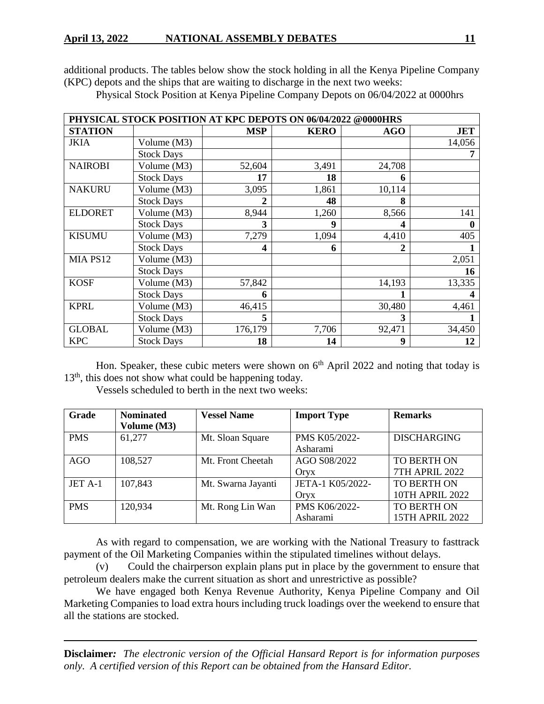additional products. The tables below show the stock holding in all the Kenya Pipeline Company (KPC) depots and the ships that are waiting to discharge in the next two weeks:

| PHYSICAL STOCK POSITION AT KPC DEPOTS ON 06/04/2022 @0000HRS |                   |            |             |            |            |
|--------------------------------------------------------------|-------------------|------------|-------------|------------|------------|
| <b>STATION</b>                                               |                   | <b>MSP</b> | <b>KERO</b> | <b>AGO</b> | <b>JET</b> |
| <b>JKIA</b>                                                  | Volume (M3)       |            |             |            | 14,056     |
|                                                              | <b>Stock Days</b> |            |             |            |            |
| <b>NAIROBI</b>                                               | Volume (M3)       | 52,604     | 3,491       | 24,708     |            |
|                                                              | <b>Stock Days</b> | 17         | 18          | 6          |            |
| <b>NAKURU</b>                                                | Volume (M3)       | 3,095      | 1,861       | 10,114     |            |
|                                                              | <b>Stock Days</b> | 2          | 48          | 8          |            |
| <b>ELDORET</b>                                               | Volume (M3)       | 8,944      | 1,260       | 8,566      | 141        |
|                                                              | <b>Stock Days</b> | 3          | 9           | 4          | 0          |
| <b>KISUMU</b>                                                | Volume (M3)       | 7,279      | 1,094       | 4,410      | 405        |
|                                                              | <b>Stock Days</b> | 4          | 6           |            |            |
| MIA PS12                                                     | Volume (M3)       |            |             |            | 2,051      |
|                                                              | <b>Stock Days</b> |            |             |            | 16         |
| <b>KOSF</b>                                                  | Volume (M3)       | 57,842     |             | 14,193     | 13,335     |
|                                                              | <b>Stock Days</b> | 6          |             |            |            |
| <b>KPRL</b>                                                  | Volume (M3)       | 46,415     |             | 30,480     | 4,461      |
|                                                              | <b>Stock Days</b> | 5          |             | 3          |            |
| <b>GLOBAL</b>                                                | Volume (M3)       | 176,179    | 7,706       | 92,471     | 34,450     |
| <b>KPC</b>                                                   | <b>Stock Days</b> | 18         | 14          | 9          | 12         |

Physical Stock Position at Kenya Pipeline Company Depots on 06/04/2022 at 0000hrs

Hon. Speaker, these cubic meters were shown on  $6<sup>th</sup>$  April 2022 and noting that today is  $13<sup>th</sup>$ , this does not show what could be happening today.

Vessels scheduled to berth in the next two weeks:

| <b>Grade</b> | <b>Nominated</b> | <b>Vessel Name</b> | <b>Import Type</b> | <b>Remarks</b>         |
|--------------|------------------|--------------------|--------------------|------------------------|
|              | Volume (M3)      |                    |                    |                        |
| <b>PMS</b>   | 61,277           | Mt. Sloan Square   | PMS K05/2022-      | <b>DISCHARGING</b>     |
|              |                  |                    | Asharami           |                        |
| <b>AGO</b>   | 108,527          | Mt. Front Cheetah  | AGO S08/2022       | <b>TO BERTH ON</b>     |
|              |                  |                    | Oryx               | <b>7TH APRIL 2022</b>  |
| JET A-1      | 107,843          | Mt. Swarna Jayanti | JETA-1 K05/2022-   | <b>TO BERTH ON</b>     |
|              |                  |                    | Oryx               | <b>10TH APRIL 2022</b> |
| <b>PMS</b>   | 120,934          | Mt. Rong Lin Wan   | PMS K06/2022-      | TO BERTH ON            |
|              |                  |                    | Asharami           | <b>15TH APRIL 2022</b> |

As with regard to compensation, we are working with the National Treasury to fasttrack payment of the Oil Marketing Companies within the stipulated timelines without delays.

(v) Could the chairperson explain plans put in place by the government to ensure that petroleum dealers make the current situation as short and unrestrictive as possible?

We have engaged both Kenya Revenue Authority, Kenya Pipeline Company and Oil Marketing Companies to load extra hours including truck loadings over the weekend to ensure that all the stations are stocked.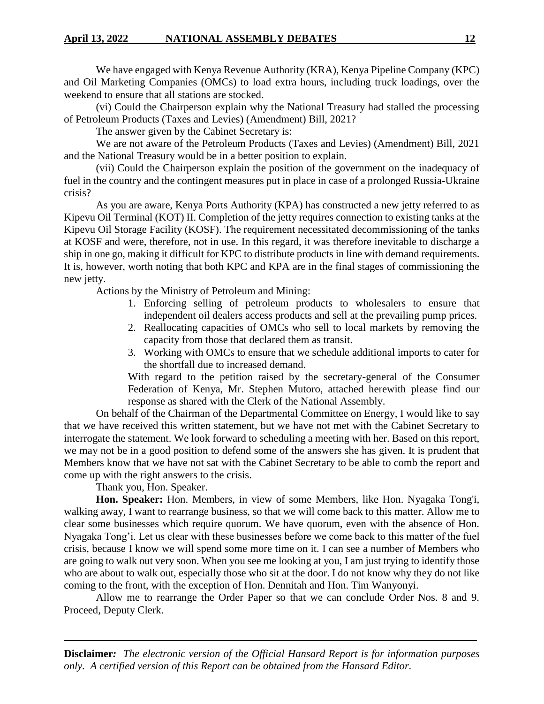We have engaged with Kenya Revenue Authority (KRA), Kenya Pipeline Company (KPC) and Oil Marketing Companies (OMCs) to load extra hours, including truck loadings, over the weekend to ensure that all stations are stocked.

(vi) Could the Chairperson explain why the National Treasury had stalled the processing of Petroleum Products (Taxes and Levies) (Amendment) Bill, 2021?

The answer given by the Cabinet Secretary is:

We are not aware of the Petroleum Products (Taxes and Levies) (Amendment) Bill, 2021 and the National Treasury would be in a better position to explain.

(vii) Could the Chairperson explain the position of the government on the inadequacy of fuel in the country and the contingent measures put in place in case of a prolonged Russia-Ukraine crisis?

As you are aware, Kenya Ports Authority (KPA) has constructed a new jetty referred to as Kipevu Oil Terminal (KOT) II. Completion of the jetty requires connection to existing tanks at the Kipevu Oil Storage Facility (KOSF). The requirement necessitated decommissioning of the tanks at KOSF and were, therefore, not in use. In this regard, it was therefore inevitable to discharge a ship in one go, making it difficult for KPC to distribute products in line with demand requirements. It is, however, worth noting that both KPC and KPA are in the final stages of commissioning the new jetty.

Actions by the Ministry of Petroleum and Mining:

- 1. Enforcing selling of petroleum products to wholesalers to ensure that independent oil dealers access products and sell at the prevailing pump prices.
- 2. Reallocating capacities of OMCs who sell to local markets by removing the capacity from those that declared them as transit.
- 3. Working with OMCs to ensure that we schedule additional imports to cater for the shortfall due to increased demand.

With regard to the petition raised by the secretary-general of the Consumer Federation of Kenya, Mr. Stephen Mutoro, attached herewith please find our response as shared with the Clerk of the National Assembly.

On behalf of the Chairman of the Departmental Committee on Energy, I would like to say that we have received this written statement, but we have not met with the Cabinet Secretary to interrogate the statement. We look forward to scheduling a meeting with her. Based on this report, we may not be in a good position to defend some of the answers she has given. It is prudent that Members know that we have not sat with the Cabinet Secretary to be able to comb the report and come up with the right answers to the crisis.

Thank you, Hon. Speaker.

**Hon. Speaker:** Hon. Members, in view of some Members, like Hon. Nyagaka Tong'i, walking away, I want to rearrange business, so that we will come back to this matter. Allow me to clear some businesses which require quorum. We have quorum, even with the absence of Hon. Nyagaka Tong'i. Let us clear with these businesses before we come back to this matter of the fuel crisis, because I know we will spend some more time on it. I can see a number of Members who are going to walk out very soon. When you see me looking at you, I am just trying to identify those who are about to walk out, especially those who sit at the door. I do not know why they do not like coming to the front, with the exception of Hon. Dennitah and Hon. Tim Wanyonyi.

Allow me to rearrange the Order Paper so that we can conclude Order Nos. 8 and 9. Proceed, Deputy Clerk.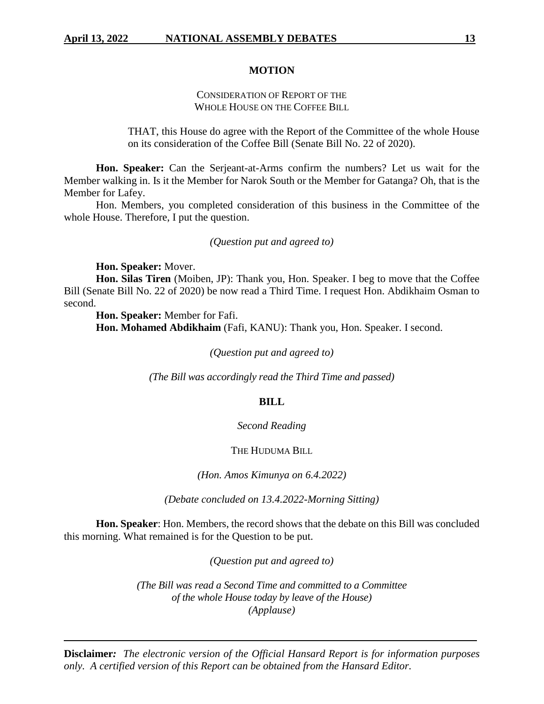#### **MOTION**

# CONSIDERATION OF REPORT OF THE WHOLE HOUSE ON THE COFFEE BILL

THAT, this House do agree with the Report of the Committee of the whole House on its consideration of the Coffee Bill (Senate Bill No. 22 of 2020).

**Hon. Speaker:** Can the Serjeant-at-Arms confirm the numbers? Let us wait for the Member walking in. Is it the Member for Narok South or the Member for Gatanga? Oh, that is the Member for Lafey.

Hon. Members, you completed consideration of this business in the Committee of the whole House. Therefore, I put the question.

#### *(Question put and agreed to)*

**Hon. Speaker:** Mover.

**Hon. Silas Tiren** (Moiben, JP): Thank you, Hon. Speaker. I beg to move that the Coffee Bill (Senate Bill No. 22 of 2020) be now read a Third Time. I request Hon. Abdikhaim Osman to second.

**Hon. Speaker:** Member for Fafi.

**Hon. Mohamed Abdikhaim** (Fafi, KANU): Thank you, Hon. Speaker. I second.

*(Question put and agreed to)*

*(The Bill was accordingly read the Third Time and passed)*

#### **BILL**

# *Second Reading*

#### THE HUDUMA BILL

*(Hon. Amos Kimunya on 6.4.2022)* 

*(Debate concluded on 13.4.2022-Morning Sitting)*

**Hon. Speaker**: Hon. Members, the record shows that the debate on this Bill was concluded this morning. What remained is for the Question to be put.

*(Question put and agreed to)*

*(The Bill was read a Second Time and committed to a Committee of the whole House today by leave of the House) (Applause)*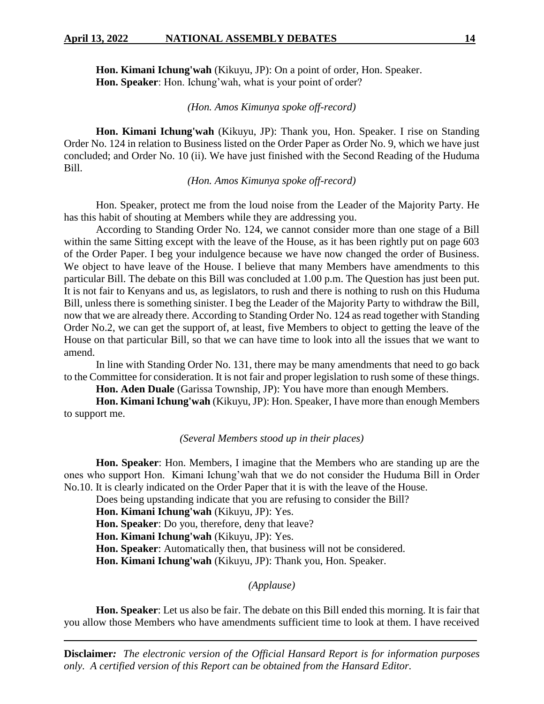**Hon. Kimani Ichung'wah** (Kikuyu, JP): On a point of order, Hon. Speaker. **Hon. Speaker**: Hon. Ichung'wah, what is your point of order?

# *(Hon. Amos Kimunya spoke off-record)*

**Hon. Kimani Ichung'wah** (Kikuyu, JP): Thank you, Hon. Speaker. I rise on Standing Order No. 124 in relation to Business listed on the Order Paper as Order No. 9, which we have just concluded; and Order No. 10 (ii). We have just finished with the Second Reading of the Huduma Bill.

# *(Hon. Amos Kimunya spoke off-record)*

Hon. Speaker, protect me from the loud noise from the Leader of the Majority Party. He has this habit of shouting at Members while they are addressing you.

According to Standing Order No. 124, we cannot consider more than one stage of a Bill within the same Sitting except with the leave of the House, as it has been rightly put on page 603 of the Order Paper. I beg your indulgence because we have now changed the order of Business. We object to have leave of the House. I believe that many Members have amendments to this particular Bill. The debate on this Bill was concluded at 1.00 p.m. The Question has just been put. It is not fair to Kenyans and us, as legislators, to rush and there is nothing to rush on this Huduma Bill, unless there is something sinister. I beg the Leader of the Majority Party to withdraw the Bill, now that we are already there. According to Standing Order No. 124 as read together with Standing Order No.2, we can get the support of, at least, five Members to object to getting the leave of the House on that particular Bill, so that we can have time to look into all the issues that we want to amend.

In line with Standing Order No. 131, there may be many amendments that need to go back to the Committee for consideration. It is not fair and proper legislation to rush some of these things.

**Hon. Aden Duale** (Garissa Township, JP): You have more than enough Members.

**Hon. Kimani Ichung'wah** (Kikuyu, JP): Hon. Speaker, I have more than enough Members to support me.

#### *(Several Members stood up in their places)*

**Hon. Speaker**: Hon. Members, I imagine that the Members who are standing up are the ones who support Hon. Kimani Ichung'wah that we do not consider the Huduma Bill in Order No.10. It is clearly indicated on the Order Paper that it is with the leave of the House.

Does being upstanding indicate that you are refusing to consider the Bill?

**Hon. Kimani Ichung'wah** (Kikuyu, JP): Yes.

**Hon. Speaker**: Do you, therefore, deny that leave?

**Hon. Kimani Ichung'wah** (Kikuyu, JP): Yes.

**Hon. Speaker**: Automatically then, that business will not be considered.

**Hon. Kimani Ichung'wah** (Kikuyu, JP): Thank you, Hon. Speaker.

# *(Applause)*

**Hon. Speaker**: Let us also be fair. The debate on this Bill ended this morning. It is fair that you allow those Members who have amendments sufficient time to look at them. I have received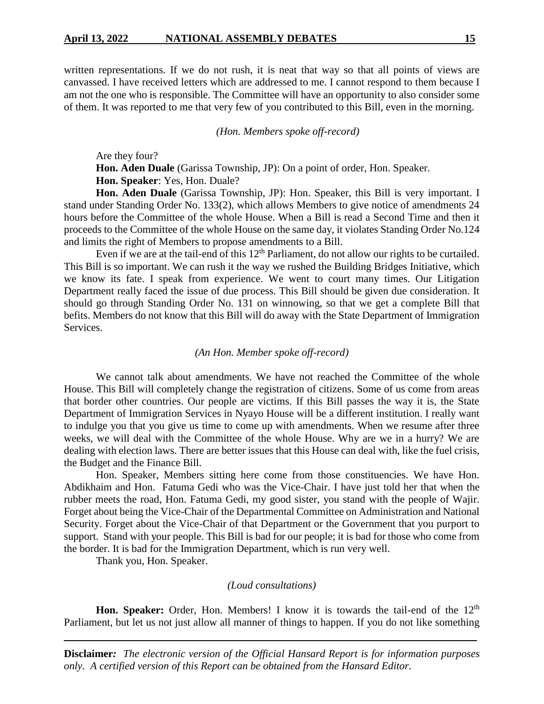written representations. If we do not rush, it is neat that way so that all points of views are canvassed. I have received letters which are addressed to me. I cannot respond to them because I am not the one who is responsible. The Committee will have an opportunity to also consider some of them. It was reported to me that very few of you contributed to this Bill, even in the morning.

*(Hon. Members spoke off-record)*

Are they four?

**Hon. Aden Duale** (Garissa Township, JP): On a point of order, Hon. Speaker. **Hon. Speaker**: Yes, Hon. Duale?

**Hon. Aden Duale** (Garissa Township, JP): Hon. Speaker, this Bill is very important. I stand under Standing Order No. 133(2), which allows Members to give notice of amendments 24 hours before the Committee of the whole House. When a Bill is read a Second Time and then it proceeds to the Committee of the whole House on the same day, it violates Standing Order No.124 and limits the right of Members to propose amendments to a Bill.

Even if we are at the tail-end of this  $12<sup>th</sup>$  Parliament, do not allow our rights to be curtailed. This Bill is so important. We can rush it the way we rushed the Building Bridges Initiative, which we know its fate. I speak from experience. We went to court many times. Our Litigation Department really faced the issue of due process. This Bill should be given due consideration. It should go through Standing Order No. 131 on winnowing, so that we get a complete Bill that befits. Members do not know that this Bill will do away with the State Department of Immigration Services.

#### *(An Hon. Member spoke off-record)*

We cannot talk about amendments. We have not reached the Committee of the whole House. This Bill will completely change the registration of citizens. Some of us come from areas that border other countries. Our people are victims. If this Bill passes the way it is, the State Department of Immigration Services in Nyayo House will be a different institution. I really want to indulge you that you give us time to come up with amendments. When we resume after three weeks, we will deal with the Committee of the whole House. Why are we in a hurry? We are dealing with election laws. There are better issues that this House can deal with, like the fuel crisis, the Budget and the Finance Bill.

Hon. Speaker, Members sitting here come from those constituencies. We have Hon. Abdikhaim and Hon. Fatuma Gedi who was the Vice-Chair. I have just told her that when the rubber meets the road, Hon. Fatuma Gedi, my good sister, you stand with the people of Wajir. Forget about being the Vice-Chair of the Departmental Committee on Administration and National Security. Forget about the Vice-Chair of that Department or the Government that you purport to support. Stand with your people. This Bill is bad for our people; it is bad for those who come from the border. It is bad for the Immigration Department, which is run very well.

Thank you, Hon. Speaker.

#### *(Loud consultations)*

**Hon. Speaker:** Order, Hon. Members! I know it is towards the tail-end of the 12<sup>th</sup> Parliament, but let us not just allow all manner of things to happen. If you do not like something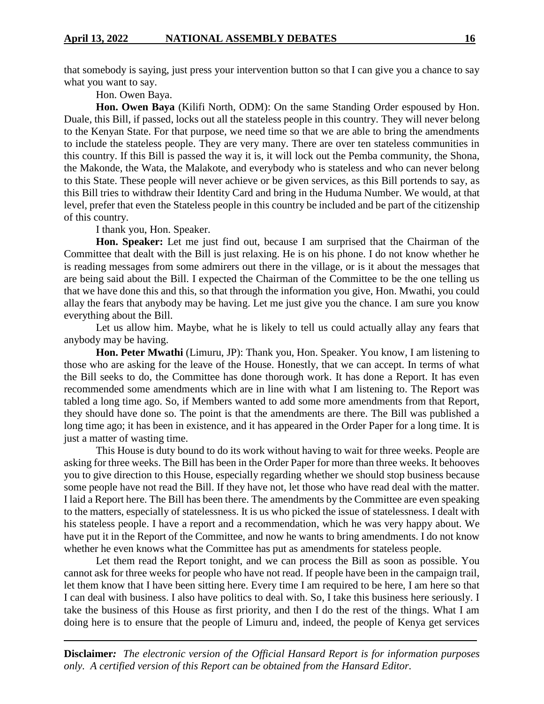that somebody is saying, just press your intervention button so that I can give you a chance to say what you want to say.

Hon. Owen Baya.

**Hon. Owen Baya** (Kilifi North, ODM): On the same Standing Order espoused by Hon. Duale, this Bill, if passed, locks out all the stateless people in this country. They will never belong to the Kenyan State. For that purpose, we need time so that we are able to bring the amendments to include the stateless people. They are very many. There are over ten stateless communities in this country. If this Bill is passed the way it is, it will lock out the Pemba community, the Shona, the Makonde, the Wata, the Malakote, and everybody who is stateless and who can never belong to this State. These people will never achieve or be given services, as this Bill portends to say, as this Bill tries to withdraw their Identity Card and bring in the Huduma Number. We would, at that level, prefer that even the Stateless people in this country be included and be part of the citizenship of this country.

I thank you, Hon. Speaker.

**Hon. Speaker:** Let me just find out, because I am surprised that the Chairman of the Committee that dealt with the Bill is just relaxing. He is on his phone. I do not know whether he is reading messages from some admirers out there in the village, or is it about the messages that are being said about the Bill. I expected the Chairman of the Committee to be the one telling us that we have done this and this, so that through the information you give, Hon. Mwathi, you could allay the fears that anybody may be having. Let me just give you the chance. I am sure you know everything about the Bill.

Let us allow him. Maybe, what he is likely to tell us could actually allay any fears that anybody may be having.

**Hon. Peter Mwathi** (Limuru, JP): Thank you, Hon. Speaker. You know, I am listening to those who are asking for the leave of the House. Honestly, that we can accept. In terms of what the Bill seeks to do, the Committee has done thorough work. It has done a Report. It has even recommended some amendments which are in line with what I am listening to. The Report was tabled a long time ago. So, if Members wanted to add some more amendments from that Report, they should have done so. The point is that the amendments are there. The Bill was published a long time ago; it has been in existence, and it has appeared in the Order Paper for a long time. It is just a matter of wasting time.

This House is duty bound to do its work without having to wait for three weeks. People are asking for three weeks. The Bill has been in the Order Paper for more than three weeks. It behooves you to give direction to this House, especially regarding whether we should stop business because some people have not read the Bill. If they have not, let those who have read deal with the matter. I laid a Report here. The Bill has been there. The amendments by the Committee are even speaking to the matters, especially of statelessness. It is us who picked the issue of statelessness. I dealt with his stateless people. I have a report and a recommendation, which he was very happy about. We have put it in the Report of the Committee, and now he wants to bring amendments. I do not know whether he even knows what the Committee has put as amendments for stateless people.

Let them read the Report tonight, and we can process the Bill as soon as possible. You cannot ask for three weeks for people who have not read. If people have been in the campaign trail, let them know that I have been sitting here. Every time I am required to be here, I am here so that I can deal with business. I also have politics to deal with. So, I take this business here seriously. I take the business of this House as first priority, and then I do the rest of the things. What I am doing here is to ensure that the people of Limuru and, indeed, the people of Kenya get services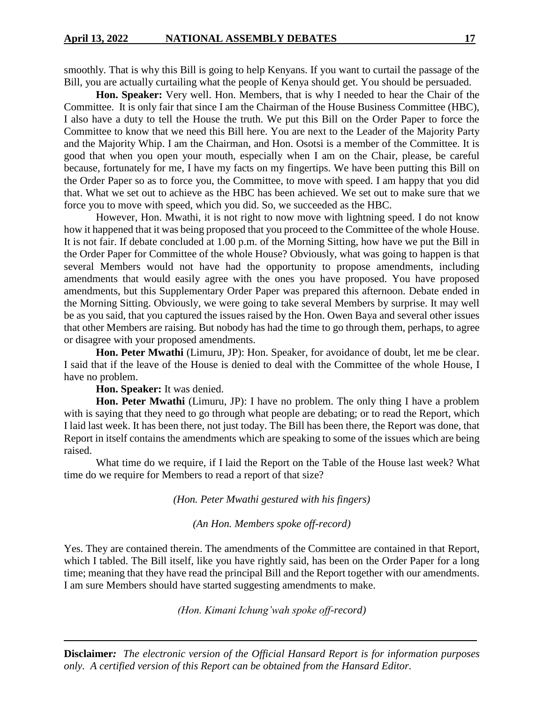smoothly. That is why this Bill is going to help Kenyans. If you want to curtail the passage of the Bill, you are actually curtailing what the people of Kenya should get. You should be persuaded.

**Hon. Speaker:** Very well. Hon. Members, that is why I needed to hear the Chair of the Committee. It is only fair that since I am the Chairman of the House Business Committee (HBC), I also have a duty to tell the House the truth. We put this Bill on the Order Paper to force the Committee to know that we need this Bill here. You are next to the Leader of the Majority Party and the Majority Whip. I am the Chairman, and Hon. Osotsi is a member of the Committee. It is good that when you open your mouth, especially when I am on the Chair, please, be careful because, fortunately for me, I have my facts on my fingertips. We have been putting this Bill on the Order Paper so as to force you, the Committee, to move with speed. I am happy that you did that. What we set out to achieve as the HBC has been achieved. We set out to make sure that we force you to move with speed, which you did. So, we succeeded as the HBC.

However, Hon. Mwathi, it is not right to now move with lightning speed. I do not know how it happened that it was being proposed that you proceed to the Committee of the whole House. It is not fair. If debate concluded at 1.00 p.m. of the Morning Sitting, how have we put the Bill in the Order Paper for Committee of the whole House? Obviously, what was going to happen is that several Members would not have had the opportunity to propose amendments, including amendments that would easily agree with the ones you have proposed. You have proposed amendments, but this Supplementary Order Paper was prepared this afternoon. Debate ended in the Morning Sitting. Obviously, we were going to take several Members by surprise. It may well be as you said, that you captured the issues raised by the Hon. Owen Baya and several other issues that other Members are raising. But nobody has had the time to go through them, perhaps, to agree or disagree with your proposed amendments.

**Hon. Peter Mwathi** (Limuru, JP): Hon. Speaker, for avoidance of doubt, let me be clear. I said that if the leave of the House is denied to deal with the Committee of the whole House, I have no problem.

**Hon. Speaker:** It was denied.

**Hon. Peter Mwathi** (Limuru, JP): I have no problem. The only thing I have a problem with is saying that they need to go through what people are debating; or to read the Report, which I laid last week. It has been there, not just today. The Bill has been there, the Report was done, that Report in itself contains the amendments which are speaking to some of the issues which are being raised.

What time do we require, if I laid the Report on the Table of the House last week? What time do we require for Members to read a report of that size?

*(Hon. Peter Mwathi gestured with his fingers)*

*(An Hon. Members spoke off-record)*

Yes. They are contained therein. The amendments of the Committee are contained in that Report, which I tabled. The Bill itself, like you have rightly said, has been on the Order Paper for a long time; meaning that they have read the principal Bill and the Report together with our amendments. I am sure Members should have started suggesting amendments to make.

*(Hon. Kimani Ichung'wah spoke off-record)*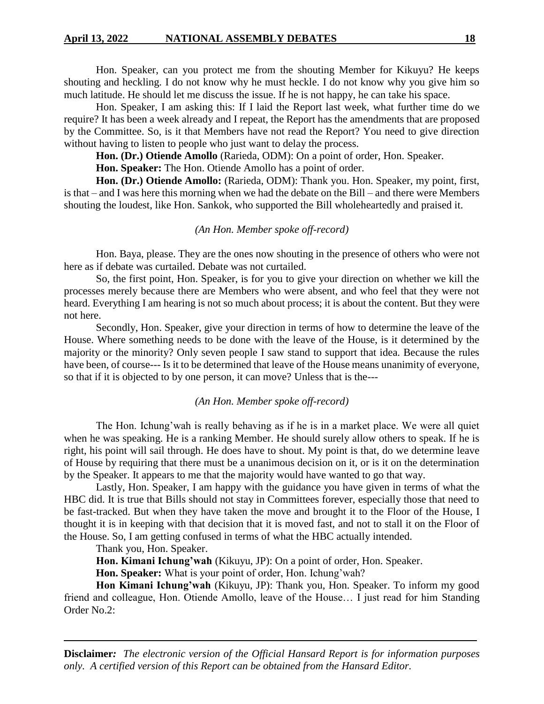Hon. Speaker, can you protect me from the shouting Member for Kikuyu? He keeps shouting and heckling. I do not know why he must heckle. I do not know why you give him so much latitude. He should let me discuss the issue. If he is not happy, he can take his space.

Hon. Speaker, I am asking this: If I laid the Report last week, what further time do we require? It has been a week already and I repeat, the Report has the amendments that are proposed by the Committee. So, is it that Members have not read the Report? You need to give direction without having to listen to people who just want to delay the process.

**Hon. (Dr.) Otiende Amollo** (Rarieda, ODM): On a point of order, Hon. Speaker.

**Hon. Speaker:** The Hon. Otiende Amollo has a point of order.

Hon. (Dr.) Otiende Amollo: (Rarieda, ODM): Thank you. Hon. Speaker, my point, first, is that – and I was here this morning when we had the debate on the Bill – and there were Members shouting the loudest, like Hon. Sankok, who supported the Bill wholeheartedly and praised it.

# *(An Hon. Member spoke off-record)*

Hon. Baya, please. They are the ones now shouting in the presence of others who were not here as if debate was curtailed. Debate was not curtailed.

So, the first point, Hon. Speaker, is for you to give your direction on whether we kill the processes merely because there are Members who were absent, and who feel that they were not heard. Everything I am hearing is not so much about process; it is about the content. But they were not here.

Secondly, Hon. Speaker, give your direction in terms of how to determine the leave of the House. Where something needs to be done with the leave of the House, is it determined by the majority or the minority? Only seven people I saw stand to support that idea. Because the rules have been, of course--- Is it to be determined that leave of the House means unanimity of everyone, so that if it is objected to by one person, it can move? Unless that is the---

### *(An Hon. Member spoke off-record)*

The Hon. Ichung'wah is really behaving as if he is in a market place. We were all quiet when he was speaking. He is a ranking Member. He should surely allow others to speak. If he is right, his point will sail through. He does have to shout. My point is that, do we determine leave of House by requiring that there must be a unanimous decision on it, or is it on the determination by the Speaker. It appears to me that the majority would have wanted to go that way.

Lastly, Hon. Speaker, I am happy with the guidance you have given in terms of what the HBC did. It is true that Bills should not stay in Committees forever, especially those that need to be fast-tracked. But when they have taken the move and brought it to the Floor of the House, I thought it is in keeping with that decision that it is moved fast, and not to stall it on the Floor of the House. So, I am getting confused in terms of what the HBC actually intended.

Thank you, Hon. Speaker.

**Hon. Kimani Ichung'wah** (Kikuyu, JP): On a point of order, Hon. Speaker.

**Hon. Speaker:** What is your point of order, Hon. Ichung'wah?

**Hon Kimani Ichung'wah** (Kikuyu, JP): Thank you, Hon. Speaker. To inform my good friend and colleague, Hon. Otiende Amollo, leave of the House… I just read for him Standing Order No.2: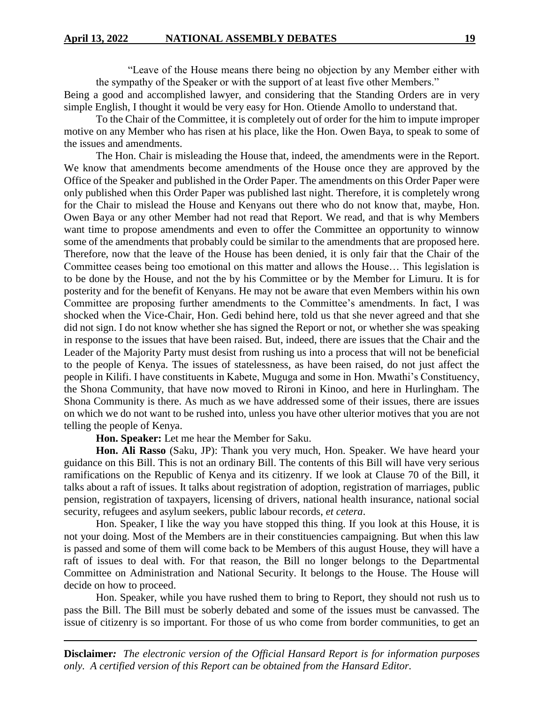"Leave of the House means there being no objection by any Member either with the sympathy of the Speaker or with the support of at least five other Members."

Being a good and accomplished lawyer, and considering that the Standing Orders are in very simple English, I thought it would be very easy for Hon. Otiende Amollo to understand that.

To the Chair of the Committee, it is completely out of order for the him to impute improper motive on any Member who has risen at his place, like the Hon. Owen Baya, to speak to some of the issues and amendments.

The Hon. Chair is misleading the House that, indeed, the amendments were in the Report. We know that amendments become amendments of the House once they are approved by the Office of the Speaker and published in the Order Paper. The amendments on this Order Paper were only published when this Order Paper was published last night. Therefore, it is completely wrong for the Chair to mislead the House and Kenyans out there who do not know that, maybe, Hon. Owen Baya or any other Member had not read that Report. We read, and that is why Members want time to propose amendments and even to offer the Committee an opportunity to winnow some of the amendments that probably could be similar to the amendments that are proposed here. Therefore, now that the leave of the House has been denied, it is only fair that the Chair of the Committee ceases being too emotional on this matter and allows the House… This legislation is to be done by the House, and not the by his Committee or by the Member for Limuru. It is for posterity and for the benefit of Kenyans. He may not be aware that even Members within his own Committee are proposing further amendments to the Committee's amendments. In fact, I was shocked when the Vice-Chair, Hon. Gedi behind here, told us that she never agreed and that she did not sign. I do not know whether she has signed the Report or not, or whether she was speaking in response to the issues that have been raised. But, indeed, there are issues that the Chair and the Leader of the Majority Party must desist from rushing us into a process that will not be beneficial to the people of Kenya. The issues of statelessness, as have been raised, do not just affect the people in Kilifi. I have constituents in Kabete, Muguga and some in Hon. Mwathi's Constituency, the Shona Community, that have now moved to Rironi in Kinoo, and here in Hurlingham. The Shona Community is there. As much as we have addressed some of their issues, there are issues on which we do not want to be rushed into, unless you have other ulterior motives that you are not telling the people of Kenya.

**Hon. Speaker:** Let me hear the Member for Saku.

**Hon. Ali Rasso** (Saku, JP): Thank you very much, Hon. Speaker. We have heard your guidance on this Bill. This is not an ordinary Bill. The contents of this Bill will have very serious ramifications on the Republic of Kenya and its citizenry. If we look at Clause 70 of the Bill, it talks about a raft of issues. It talks about registration of adoption, registration of marriages, public pension, registration of taxpayers, licensing of drivers, national health insurance, national social security, refugees and asylum seekers, public labour records, *et cetera*.

Hon. Speaker, I like the way you have stopped this thing. If you look at this House, it is not your doing. Most of the Members are in their constituencies campaigning. But when this law is passed and some of them will come back to be Members of this august House, they will have a raft of issues to deal with. For that reason, the Bill no longer belongs to the Departmental Committee on Administration and National Security. It belongs to the House. The House will decide on how to proceed.

Hon. Speaker, while you have rushed them to bring to Report, they should not rush us to pass the Bill. The Bill must be soberly debated and some of the issues must be canvassed. The issue of citizenry is so important. For those of us who come from border communities, to get an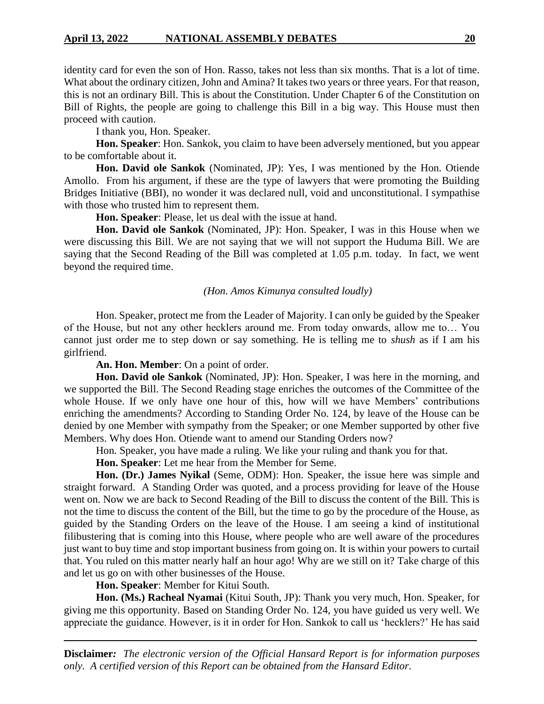identity card for even the son of Hon. Rasso, takes not less than six months. That is a lot of time. What about the ordinary citizen, John and Amina? It takes two years or three years. For that reason, this is not an ordinary Bill. This is about the Constitution. Under Chapter 6 of the Constitution on Bill of Rights, the people are going to challenge this Bill in a big way. This House must then proceed with caution.

I thank you, Hon. Speaker.

**Hon. Speaker**: Hon. Sankok, you claim to have been adversely mentioned, but you appear to be comfortable about it.

**Hon. David ole Sankok** (Nominated, JP): Yes, I was mentioned by the Hon. Otiende Amollo. From his argument, if these are the type of lawyers that were promoting the Building Bridges Initiative (BBI), no wonder it was declared null, void and unconstitutional. I sympathise with those who trusted him to represent them.

**Hon. Speaker**: Please, let us deal with the issue at hand.

**Hon. David ole Sankok** (Nominated, JP): Hon. Speaker, I was in this House when we were discussing this Bill. We are not saying that we will not support the Huduma Bill. We are saying that the Second Reading of the Bill was completed at 1.05 p.m. today. In fact, we went beyond the required time.

#### *(Hon. Amos Kimunya consulted loudly)*

Hon. Speaker, protect me from the Leader of Majority. I can only be guided by the Speaker of the House, but not any other hecklers around me. From today onwards, allow me to… You cannot just order me to step down or say something. He is telling me to *shush* as if I am his girlfriend.

**An. Hon. Member**: On a point of order.

**Hon. David ole Sankok** (Nominated, JP): Hon. Speaker, I was here in the morning, and we supported the Bill. The Second Reading stage enriches the outcomes of the Committee of the whole House. If we only have one hour of this, how will we have Members' contributions enriching the amendments? According to Standing Order No. 124, by leave of the House can be denied by one Member with sympathy from the Speaker; or one Member supported by other five Members. Why does Hon. Otiende want to amend our Standing Orders now?

Hon. Speaker, you have made a ruling. We like your ruling and thank you for that.

**Hon. Speaker**: Let me hear from the Member for Seme.

**Hon. (Dr.) James Nyikal** (Seme, ODM): Hon. Speaker, the issue here was simple and straight forward. A Standing Order was quoted, and a process providing for leave of the House went on. Now we are back to Second Reading of the Bill to discuss the content of the Bill. This is not the time to discuss the content of the Bill, but the time to go by the procedure of the House, as guided by the Standing Orders on the leave of the House. I am seeing a kind of institutional filibustering that is coming into this House, where people who are well aware of the procedures just want to buy time and stop important business from going on. It is within your powers to curtail that. You ruled on this matter nearly half an hour ago! Why are we still on it? Take charge of this and let us go on with other businesses of the House.

**Hon. Speaker**: Member for Kitui South.

**Hon. (Ms.) Racheal Nyamai** (Kitui South, JP): Thank you very much, Hon. Speaker, for giving me this opportunity. Based on Standing Order No. 124, you have guided us very well. We appreciate the guidance. However, is it in order for Hon. Sankok to call us 'hecklers?' He has said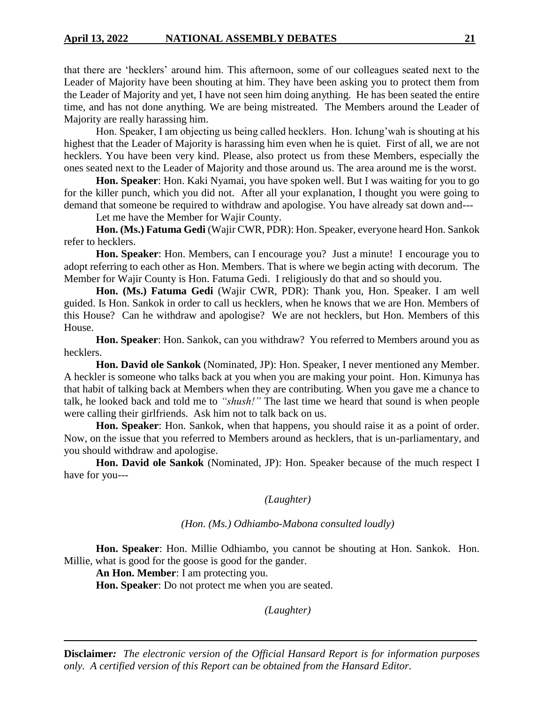that there are 'hecklers' around him. This afternoon, some of our colleagues seated next to the Leader of Majority have been shouting at him. They have been asking you to protect them from the Leader of Majority and yet, I have not seen him doing anything. He has been seated the entire time, and has not done anything. We are being mistreated. The Members around the Leader of Majority are really harassing him.

Hon. Speaker, I am objecting us being called hecklers. Hon. Ichung'wah is shouting at his highest that the Leader of Majority is harassing him even when he is quiet. First of all, we are not hecklers. You have been very kind. Please, also protect us from these Members, especially the ones seated next to the Leader of Majority and those around us. The area around me is the worst.

**Hon. Speaker**: Hon. Kaki Nyamai, you have spoken well. But I was waiting for you to go for the killer punch, which you did not. After all your explanation, I thought you were going to demand that someone be required to withdraw and apologise. You have already sat down and---

Let me have the Member for Wajir County.

**Hon. (Ms.) Fatuma Gedi** (Wajir CWR, PDR): Hon. Speaker, everyone heard Hon. Sankok refer to hecklers.

**Hon. Speaker**: Hon. Members, can I encourage you? Just a minute! I encourage you to adopt referring to each other as Hon. Members. That is where we begin acting with decorum. The Member for Wajir County is Hon. Fatuma Gedi. I religiously do that and so should you.

**Hon. (Ms.) Fatuma Gedi** (Wajir CWR, PDR): Thank you, Hon. Speaker. I am well guided. Is Hon. Sankok in order to call us hecklers, when he knows that we are Hon. Members of this House? Can he withdraw and apologise? We are not hecklers, but Hon. Members of this House.

**Hon. Speaker**: Hon. Sankok, can you withdraw? You referred to Members around you as hecklers.

**Hon. David ole Sankok** (Nominated, JP): Hon. Speaker, I never mentioned any Member. A heckler is someone who talks back at you when you are making your point. Hon. Kimunya has that habit of talking back at Members when they are contributing. When you gave me a chance to talk, he looked back and told me to *"shush!"* The last time we heard that sound is when people were calling their girlfriends. Ask him not to talk back on us.

**Hon. Speaker**: Hon. Sankok, when that happens, you should raise it as a point of order. Now, on the issue that you referred to Members around as hecklers, that is un-parliamentary, and you should withdraw and apologise.

**Hon. David ole Sankok** (Nominated, JP): Hon. Speaker because of the much respect I have for you---

# *(Laughter)*

#### *(Hon. (Ms.) Odhiambo-Mabona consulted loudly)*

**Hon. Speaker**: Hon. Millie Odhiambo, you cannot be shouting at Hon. Sankok. Hon. Millie, what is good for the goose is good for the gander.

**An Hon. Member**: I am protecting you.

**Hon. Speaker**: Do not protect me when you are seated.

*(Laughter)*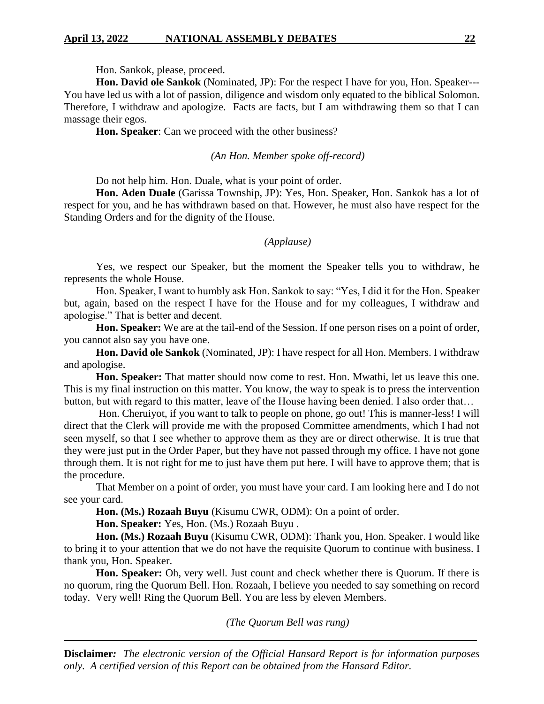Hon. Sankok, please, proceed.

**Hon. David ole Sankok** (Nominated, JP): For the respect I have for you, Hon. Speaker--- You have led us with a lot of passion, diligence and wisdom only equated to the biblical Solomon. Therefore, I withdraw and apologize. Facts are facts, but I am withdrawing them so that I can massage their egos.

**Hon. Speaker**: Can we proceed with the other business?

# *(An Hon. Member spoke off-record)*

Do not help him. Hon. Duale, what is your point of order.

**Hon. Aden Duale** (Garissa Township, JP): Yes, Hon. Speaker, Hon. Sankok has a lot of respect for you, and he has withdrawn based on that. However, he must also have respect for the Standing Orders and for the dignity of the House.

# *(Applause)*

Yes, we respect our Speaker, but the moment the Speaker tells you to withdraw, he represents the whole House.

Hon. Speaker, I want to humbly ask Hon. Sankok to say: "Yes, I did it for the Hon. Speaker but, again, based on the respect I have for the House and for my colleagues, I withdraw and apologise." That is better and decent.

**Hon. Speaker:** We are at the tail-end of the Session. If one person rises on a point of order, you cannot also say you have one.

**Hon. David ole Sankok** (Nominated, JP): I have respect for all Hon. Members. I withdraw and apologise.

**Hon. Speaker:** That matter should now come to rest. Hon. Mwathi, let us leave this one. This is my final instruction on this matter. You know, the way to speak is to press the intervention button, but with regard to this matter, leave of the House having been denied. I also order that…

Hon. Cheruiyot, if you want to talk to people on phone, go out! This is manner-less! I will direct that the Clerk will provide me with the proposed Committee amendments, which I had not seen myself, so that I see whether to approve them as they are or direct otherwise. It is true that they were just put in the Order Paper, but they have not passed through my office. I have not gone through them. It is not right for me to just have them put here. I will have to approve them; that is the procedure.

That Member on a point of order, you must have your card. I am looking here and I do not see your card.

**Hon. (Ms.) Rozaah Buyu** (Kisumu CWR, ODM): On a point of order.

**Hon. Speaker:** Yes, Hon. (Ms.) Rozaah Buyu .

**Hon. (Ms.) Rozaah Buyu** (Kisumu CWR, ODM): Thank you, Hon. Speaker. I would like to bring it to your attention that we do not have the requisite Quorum to continue with business. I thank you, Hon. Speaker.

**Hon. Speaker:** Oh, very well. Just count and check whether there is Quorum. If there is no quorum, ring the Quorum Bell. Hon. Rozaah, I believe you needed to say something on record today. Very well! Ring the Quorum Bell. You are less by eleven Members.

*(The Quorum Bell was rung)*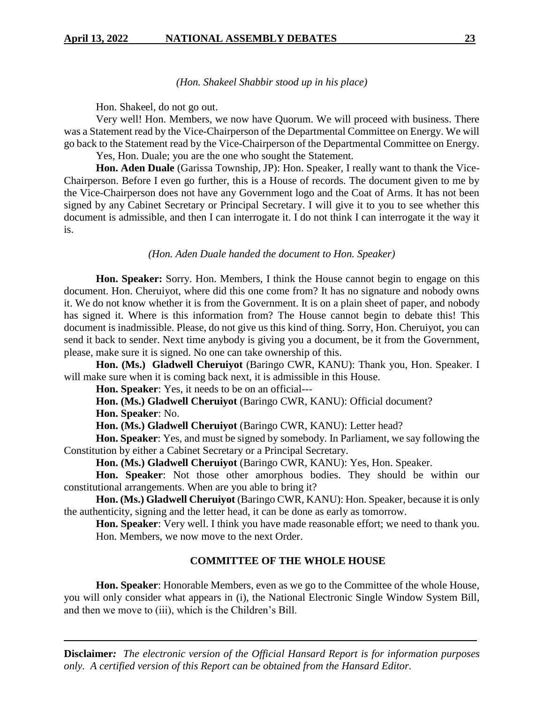### *(Hon. Shakeel Shabbir stood up in his place)*

Hon. Shakeel, do not go out.

Very well! Hon. Members, we now have Quorum. We will proceed with business. There was a Statement read by the Vice-Chairperson of the Departmental Committee on Energy. We will go back to the Statement read by the Vice-Chairperson of the Departmental Committee on Energy. Yes, Hon. Duale; you are the one who sought the Statement.

**Hon. Aden Duale** (Garissa Township, JP): Hon. Speaker, I really want to thank the Vice-Chairperson. Before I even go further, this is a House of records. The document given to me by the Vice-Chairperson does not have any Government logo and the Coat of Arms. It has not been signed by any Cabinet Secretary or Principal Secretary. I will give it to you to see whether this document is admissible, and then I can interrogate it. I do not think I can interrogate it the way it is.

### *(Hon. Aden Duale handed the document to Hon. Speaker)*

**Hon. Speaker:** Sorry. Hon. Members, I think the House cannot begin to engage on this document. Hon. Cheruiyot, where did this one come from? It has no signature and nobody owns it. We do not know whether it is from the Government. It is on a plain sheet of paper, and nobody has signed it. Where is this information from? The House cannot begin to debate this! This document is inadmissible. Please, do not give us this kind of thing. Sorry, Hon. Cheruiyot, you can send it back to sender. Next time anybody is giving you a document, be it from the Government, please, make sure it is signed. No one can take ownership of this.

**Hon. (Ms.) Gladwell Cheruiyot** (Baringo CWR, KANU): Thank you, Hon. Speaker. I will make sure when it is coming back next, it is admissible in this House.

**Hon. Speaker**: Yes, it needs to be on an official---

**Hon. (Ms.) Gladwell Cheruiyot** (Baringo CWR, KANU): Official document?

**Hon. Speaker**: No.

**Hon. (Ms.) Gladwell Cheruiyot** (Baringo CWR, KANU): Letter head?

**Hon. Speaker**: Yes, and must be signed by somebody. In Parliament, we say following the Constitution by either a Cabinet Secretary or a Principal Secretary.

**Hon. (Ms.) Gladwell Cheruiyot** (Baringo CWR, KANU): Yes, Hon. Speaker.

**Hon. Speaker**: Not those other amorphous bodies. They should be within our constitutional arrangements. When are you able to bring it?

**Hon. (Ms.) Gladwell Cheruiyot** (Baringo CWR, KANU): Hon. Speaker, because it is only the authenticity, signing and the letter head, it can be done as early as tomorrow.

**Hon. Speaker**: Very well. I think you have made reasonable effort; we need to thank you. Hon. Members, we now move to the next Order.

#### **COMMITTEE OF THE WHOLE HOUSE**

**Hon. Speaker**: Honorable Members, even as we go to the Committee of the whole House, you will only consider what appears in (i), the National Electronic Single Window System Bill, and then we move to (iii), which is the Children's Bill.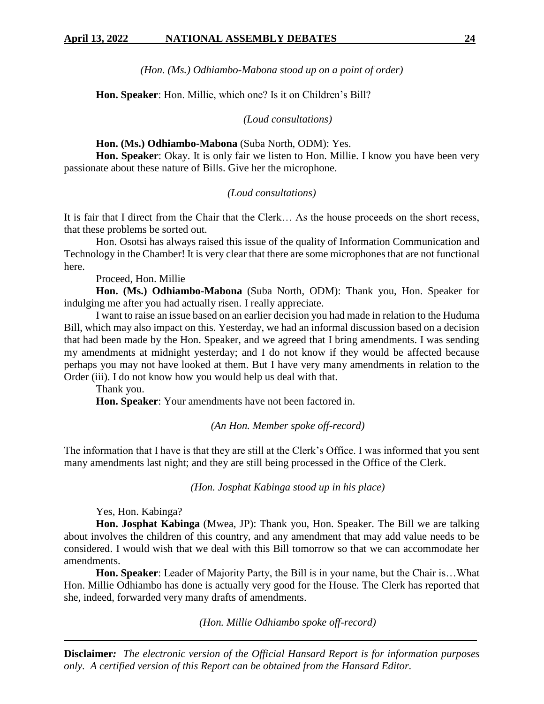*(Hon. (Ms.) Odhiambo-Mabona stood up on a point of order)*

**Hon. Speaker**: Hon. Millie, which one? Is it on Children's Bill?

*(Loud consultations)*

# **Hon. (Ms.) Odhiambo-Mabona** (Suba North, ODM): Yes.

**Hon. Speaker**: Okay. It is only fair we listen to Hon. Millie. I know you have been very passionate about these nature of Bills. Give her the microphone.

### *(Loud consultations)*

It is fair that I direct from the Chair that the Clerk… As the house proceeds on the short recess, that these problems be sorted out.

Hon. Osotsi has always raised this issue of the quality of Information Communication and Technology in the Chamber! It is very clear that there are some microphones that are not functional here.

Proceed, Hon. Millie

**Hon. (Ms.) Odhiambo-Mabona** (Suba North, ODM): Thank you, Hon. Speaker for indulging me after you had actually risen. I really appreciate.

I want to raise an issue based on an earlier decision you had made in relation to the Huduma Bill, which may also impact on this. Yesterday, we had an informal discussion based on a decision that had been made by the Hon. Speaker, and we agreed that I bring amendments. I was sending my amendments at midnight yesterday; and I do not know if they would be affected because perhaps you may not have looked at them. But I have very many amendments in relation to the Order (iii). I do not know how you would help us deal with that.

Thank you.

**Hon. Speaker**: Your amendments have not been factored in.

*(An Hon. Member spoke off-record)*

The information that I have is that they are still at the Clerk's Office. I was informed that you sent many amendments last night; and they are still being processed in the Office of the Clerk.

*(Hon. Josphat Kabinga stood up in his place)*

Yes, Hon. Kabinga?

**Hon. Josphat Kabinga** (Mwea, JP): Thank you, Hon. Speaker. The Bill we are talking about involves the children of this country, and any amendment that may add value needs to be considered. I would wish that we deal with this Bill tomorrow so that we can accommodate her amendments.

**Hon. Speaker**: Leader of Majority Party, the Bill is in your name, but the Chair is…What Hon. Millie Odhiambo has done is actually very good for the House. The Clerk has reported that she, indeed, forwarded very many drafts of amendments.

*(Hon. Millie Odhiambo spoke off-record)*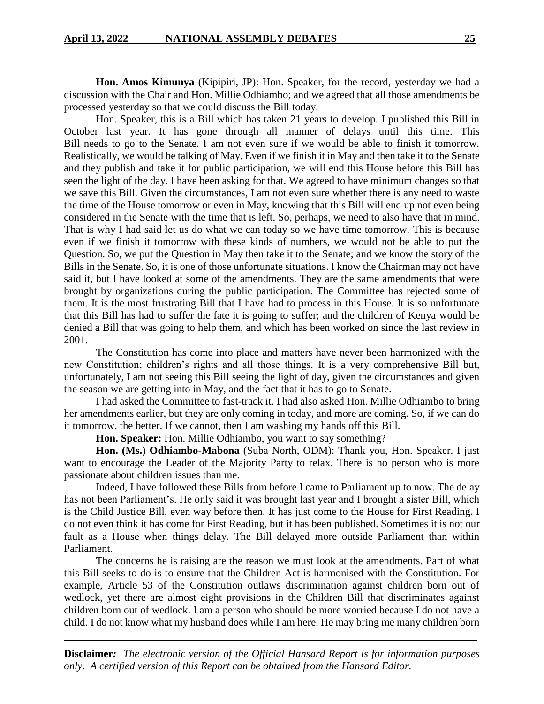**Hon. Amos Kimunya** (Kipipiri, JP): Hon. Speaker, for the record, yesterday we had a discussion with the Chair and Hon. Millie Odhiambo; and we agreed that all those amendments be processed yesterday so that we could discuss the Bill today.

Hon. Speaker, this is a Bill which has taken 21 years to develop. I published this Bill in October last year. It has gone through all manner of delays until this time. This Bill needs to go to the Senate. I am not even sure if we would be able to finish it tomorrow. Realistically, we would be talking of May. Even if we finish it in May and then take it to the Senate and they publish and take it for public participation, we will end this House before this Bill has seen the light of the day. I have been asking for that. We agreed to have minimum changes so that we save this Bill. Given the circumstances, I am not even sure whether there is any need to waste the time of the House tomorrow or even in May, knowing that this Bill will end up not even being considered in the Senate with the time that is left. So, perhaps, we need to also have that in mind. That is why I had said let us do what we can today so we have time tomorrow. This is because even if we finish it tomorrow with these kinds of numbers, we would not be able to put the Question. So, we put the Question in May then take it to the Senate; and we know the story of the Bills in the Senate. So, it is one of those unfortunate situations. I know the Chairman may not have said it, but I have looked at some of the amendments. They are the same amendments that were brought by organizations during the public participation. The Committee has rejected some of them. It is the most frustrating Bill that I have had to process in this House. It is so unfortunate that this Bill has had to suffer the fate it is going to suffer; and the children of Kenya would be denied a Bill that was going to help them, and which has been worked on since the last review in 2001.

The Constitution has come into place and matters have never been harmonized with the new Constitution; children's rights and all those things. It is a very comprehensive Bill but, unfortunately, I am not seeing this Bill seeing the light of day, given the circumstances and given the season we are getting into in May, and the fact that it has to go to Senate.

I had asked the Committee to fast-track it. I had also asked Hon. Millie Odhiambo to bring her amendments earlier, but they are only coming in today, and more are coming. So, if we can do it tomorrow, the better. If we cannot, then I am washing my hands off this Bill.

**Hon. Speaker:** Hon. Millie Odhiambo, you want to say something?

**Hon. (Ms.) Odhiambo-Mabona** (Suba North, ODM): Thank you, Hon. Speaker. I just want to encourage the Leader of the Majority Party to relax. There is no person who is more passionate about children issues than me.

Indeed, I have followed these Bills from before I came to Parliament up to now. The delay has not been Parliament's. He only said it was brought last year and I brought a sister Bill, which is the Child Justice Bill, even way before then. It has just come to the House for First Reading. I do not even think it has come for First Reading, but it has been published. Sometimes it is not our fault as a House when things delay. The Bill delayed more outside Parliament than within Parliament.

The concerns he is raising are the reason we must look at the amendments. Part of what this Bill seeks to do is to ensure that the Children Act is harmonised with the Constitution. For example, Article 53 of the Constitution outlaws discrimination against children born out of wedlock, yet there are almost eight provisions in the Children Bill that discriminates against children born out of wedlock. I am a person who should be more worried because I do not have a child. I do not know what my husband does while I am here. He may bring me many children born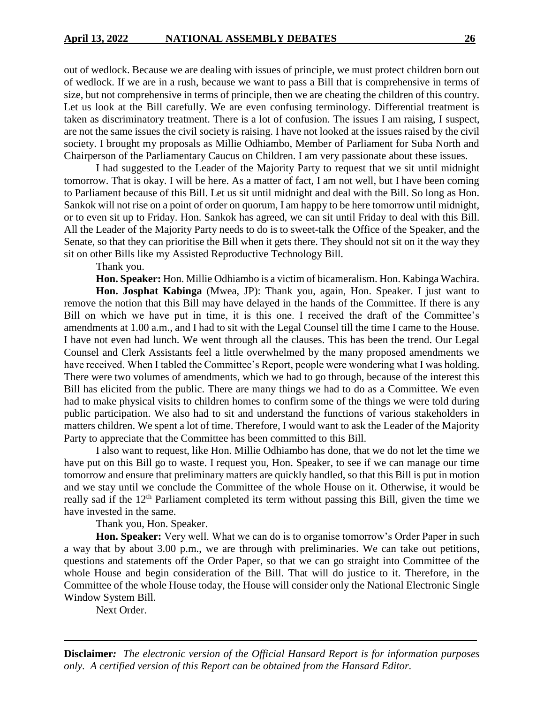out of wedlock. Because we are dealing with issues of principle, we must protect children born out of wedlock. If we are in a rush, because we want to pass a Bill that is comprehensive in terms of size, but not comprehensive in terms of principle, then we are cheating the children of this country. Let us look at the Bill carefully. We are even confusing terminology. Differential treatment is taken as discriminatory treatment. There is a lot of confusion. The issues I am raising, I suspect, are not the same issues the civil society is raising. I have not looked at the issues raised by the civil society. I brought my proposals as Millie Odhiambo, Member of Parliament for Suba North and Chairperson of the Parliamentary Caucus on Children. I am very passionate about these issues.

I had suggested to the Leader of the Majority Party to request that we sit until midnight tomorrow. That is okay. I will be here. As a matter of fact, I am not well, but I have been coming to Parliament because of this Bill. Let us sit until midnight and deal with the Bill. So long as Hon. Sankok will not rise on a point of order on quorum, I am happy to be here tomorrow until midnight, or to even sit up to Friday. Hon. Sankok has agreed, we can sit until Friday to deal with this Bill. All the Leader of the Majority Party needs to do is to sweet-talk the Office of the Speaker, and the Senate, so that they can prioritise the Bill when it gets there. They should not sit on it the way they sit on other Bills like my Assisted Reproductive Technology Bill.

Thank you.

**Hon. Speaker:** Hon. Millie Odhiambo is a victim of bicameralism. Hon. Kabinga Wachira.

**Hon. Josphat Kabinga** (Mwea, JP): Thank you, again, Hon. Speaker. I just want to remove the notion that this Bill may have delayed in the hands of the Committee. If there is any Bill on which we have put in time, it is this one. I received the draft of the Committee's amendments at 1.00 a.m., and I had to sit with the Legal Counsel till the time I came to the House. I have not even had lunch. We went through all the clauses. This has been the trend. Our Legal Counsel and Clerk Assistants feel a little overwhelmed by the many proposed amendments we have received. When I tabled the Committee's Report, people were wondering what I was holding. There were two volumes of amendments, which we had to go through, because of the interest this Bill has elicited from the public. There are many things we had to do as a Committee. We even had to make physical visits to children homes to confirm some of the things we were told during public participation. We also had to sit and understand the functions of various stakeholders in matters children. We spent a lot of time. Therefore, I would want to ask the Leader of the Majority Party to appreciate that the Committee has been committed to this Bill.

I also want to request, like Hon. Millie Odhiambo has done, that we do not let the time we have put on this Bill go to waste. I request you, Hon. Speaker, to see if we can manage our time tomorrow and ensure that preliminary matters are quickly handled, so that this Bill is put in motion and we stay until we conclude the Committee of the whole House on it. Otherwise, it would be really sad if the 12<sup>th</sup> Parliament completed its term without passing this Bill, given the time we have invested in the same.

Thank you, Hon. Speaker.

**Hon. Speaker:** Very well. What we can do is to organise tomorrow's Order Paper in such a way that by about 3.00 p.m., we are through with preliminaries. We can take out petitions, questions and statements off the Order Paper, so that we can go straight into Committee of the whole House and begin consideration of the Bill. That will do justice to it. Therefore, in the Committee of the whole House today, the House will consider only the National Electronic Single Window System Bill.

Next Order.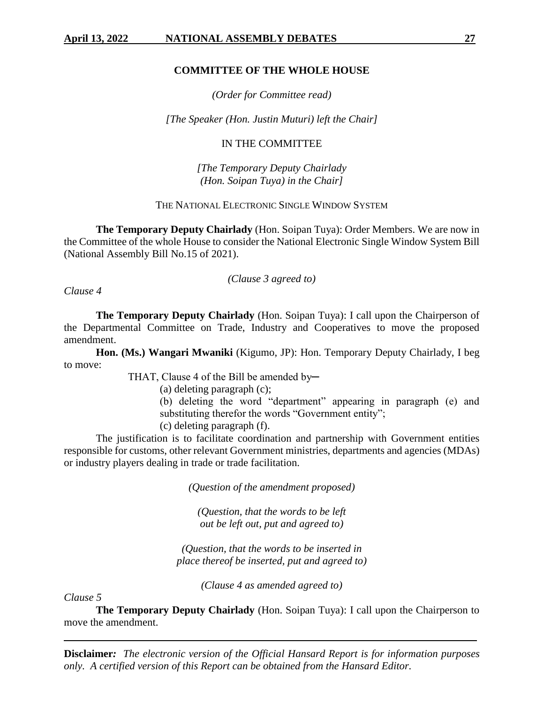# **COMMITTEE OF THE WHOLE HOUSE**

*(Order for Committee read)*

*[The Speaker (Hon. Justin Muturi) left the Chair]*

### IN THE COMMITTEE

*[The Temporary Deputy Chairlady (Hon. Soipan Tuya) in the Chair]*

# THE NATIONAL ELECTRONIC SINGLE WINDOW SYSTEM

**The Temporary Deputy Chairlady** (Hon. Soipan Tuya): Order Members. We are now in the Committee of the whole House to consider the National Electronic Single Window System Bill (National Assembly Bill No.15 of 2021).

# *(Clause 3 agreed to)*

*Clause 4*

**The Temporary Deputy Chairlady** (Hon. Soipan Tuya): I call upon the Chairperson of the Departmental Committee on Trade, Industry and Cooperatives to move the proposed amendment.

**Hon. (Ms.) Wangari Mwaniki** (Kigumo, JP): Hon. Temporary Deputy Chairlady, I beg to move:

THAT, Clause 4 of the Bill be amended by-

(a) deleting paragraph (c);

(b) deleting the word "department" appearing in paragraph (e) and substituting therefor the words "Government entity";

(c) deleting paragraph (f).

The justification is to facilitate coordination and partnership with Government entities responsible for customs, other relevant Government ministries, departments and agencies (MDAs) or industry players dealing in trade or trade facilitation.

*(Question of the amendment proposed)*

*(Question, that the words to be left out be left out, put and agreed to)*

*(Question, that the words to be inserted in place thereof be inserted, put and agreed to)*

*(Clause 4 as amended agreed to)*

*Clause 5*

**The Temporary Deputy Chairlady** (Hon. Soipan Tuya): I call upon the Chairperson to move the amendment.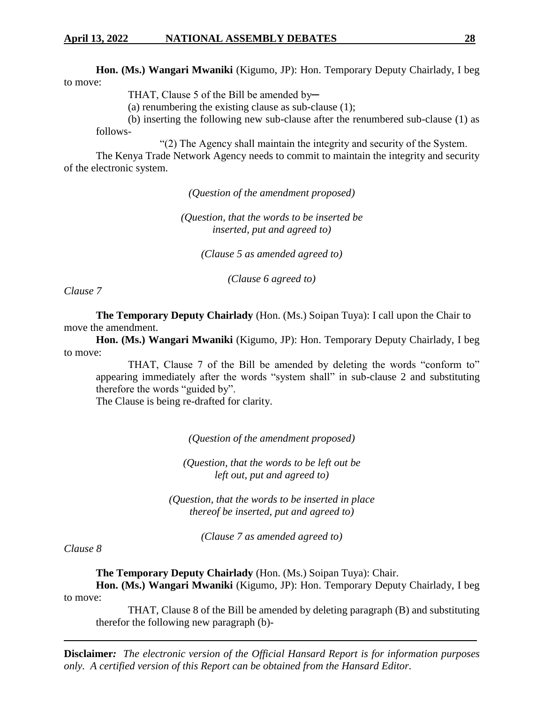**Hon. (Ms.) Wangari Mwaniki** (Kigumo, JP): Hon. Temporary Deputy Chairlady, I beg to move:

THAT, Clause 5 of the Bill be amended by-

(a) renumbering the existing clause as sub-clause (1);

(b) inserting the following new sub-clause after the renumbered sub-clause (1) as follows-

"(2) The Agency shall maintain the integrity and security of the System.

The Kenya Trade Network Agency needs to commit to maintain the integrity and security of the electronic system.

*(Question of the amendment proposed)*

*(Question, that the words to be inserted be inserted, put and agreed to)*

*(Clause 5 as amended agreed to)*

*(Clause 6 agreed to)*

*Clause 7*

**The Temporary Deputy Chairlady** (Hon. (Ms.) Soipan Tuya): I call upon the Chair to move the amendment.

**Hon. (Ms.) Wangari Mwaniki** (Kigumo, JP): Hon. Temporary Deputy Chairlady, I beg to move:

THAT, Clause 7 of the Bill be amended by deleting the words "conform to" appearing immediately after the words "system shall" in sub-clause 2 and substituting therefore the words "guided by".

The Clause is being re-drafted for clarity.

*(Question of the amendment proposed)*

*(Question, that the words to be left out be left out, put and agreed to)*

*(Question, that the words to be inserted in place thereof be inserted, put and agreed to)*

*(Clause 7 as amended agreed to)*

# *Clause 8*

**The Temporary Deputy Chairlady** (Hon. (Ms.) Soipan Tuya): Chair.

**Hon. (Ms.) Wangari Mwaniki** (Kigumo, JP): Hon. Temporary Deputy Chairlady, I beg to move:

THAT, Clause 8 of the Bill be amended by deleting paragraph (B) and substituting therefor the following new paragraph (b)-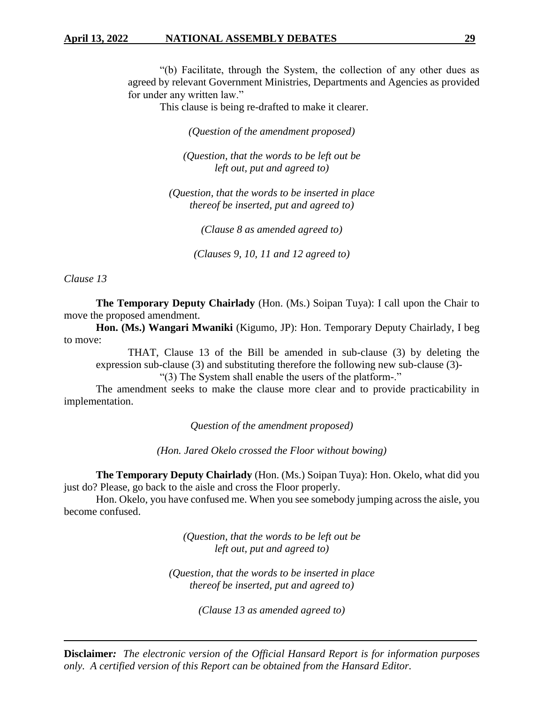"(b) Facilitate, through the System, the collection of any other dues as agreed by relevant Government Ministries, Departments and Agencies as provided for under any written law."

This clause is being re-drafted to make it clearer.

*(Question of the amendment proposed)*

*(Question, that the words to be left out be left out, put and agreed to)*

*(Question, that the words to be inserted in place thereof be inserted, put and agreed to)*

*(Clause 8 as amended agreed to)*

*(Clauses 9, 10, 11 and 12 agreed to)*

*Clause 13*

**The Temporary Deputy Chairlady** (Hon. (Ms.) Soipan Tuya): I call upon the Chair to move the proposed amendment.

**Hon. (Ms.) Wangari Mwaniki** (Kigumo, JP): Hon. Temporary Deputy Chairlady, I beg to move:

THAT, Clause 13 of the Bill be amended in sub-clause (3) by deleting the expression sub-clause (3) and substituting therefore the following new sub-clause (3)-

"(3) The System shall enable the users of the platform-."

The amendment seeks to make the clause more clear and to provide practicability in implementation.

*Question of the amendment proposed)*

*(Hon. Jared Okelo crossed the Floor without bowing)*

**The Temporary Deputy Chairlady** (Hon. (Ms.) Soipan Tuya): Hon. Okelo, what did you just do? Please, go back to the aisle and cross the Floor properly.

Hon. Okelo, you have confused me. When you see somebody jumping across the aisle, you become confused.

> *(Question, that the words to be left out be left out, put and agreed to)*

*(Question, that the words to be inserted in place thereof be inserted, put and agreed to)*

*(Clause 13 as amended agreed to)*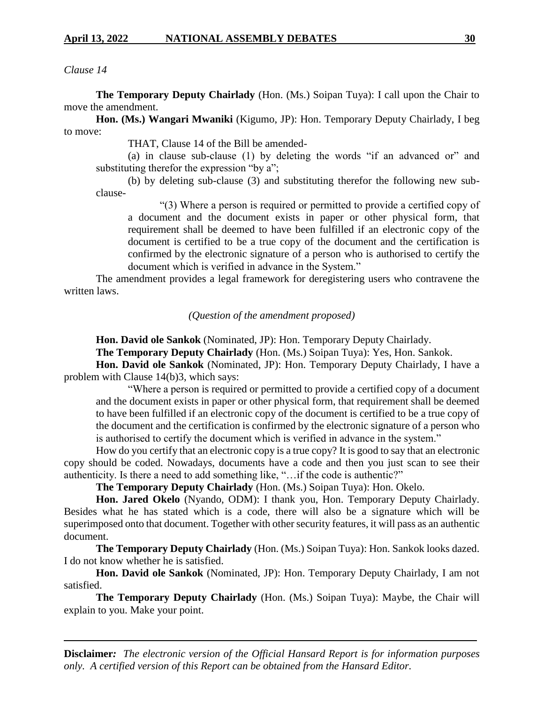# *Clause 14*

**The Temporary Deputy Chairlady** (Hon. (Ms.) Soipan Tuya): I call upon the Chair to move the amendment.

**Hon. (Ms.) Wangari Mwaniki** (Kigumo, JP): Hon. Temporary Deputy Chairlady, I beg to move:

THAT, Clause 14 of the Bill be amended-

(a) in clause sub-clause (1) by deleting the words "if an advanced or" and substituting therefor the expression "by a";

(b) by deleting sub-clause (3) and substituting therefor the following new subclause-

"(3) Where a person is required or permitted to provide a certified copy of a document and the document exists in paper or other physical form, that requirement shall be deemed to have been fulfilled if an electronic copy of the document is certified to be a true copy of the document and the certification is confirmed by the electronic signature of a person who is authorised to certify the document which is verified in advance in the System."

The amendment provides a legal framework for deregistering users who contravene the written laws.

*(Question of the amendment proposed)*

**Hon. David ole Sankok** (Nominated, JP): Hon. Temporary Deputy Chairlady.

**The Temporary Deputy Chairlady** (Hon. (Ms.) Soipan Tuya): Yes, Hon. Sankok.

**Hon. David ole Sankok** (Nominated, JP): Hon. Temporary Deputy Chairlady, I have a problem with Clause 14(b)3, which says:

"Where a person is required or permitted to provide a certified copy of a document and the document exists in paper or other physical form, that requirement shall be deemed to have been fulfilled if an electronic copy of the document is certified to be a true copy of the document and the certification is confirmed by the electronic signature of a person who is authorised to certify the document which is verified in advance in the system."

How do you certify that an electronic copy is a true copy? It is good to say that an electronic copy should be coded. Nowadays, documents have a code and then you just scan to see their authenticity. Is there a need to add something like, "…if the code is authentic?"

**The Temporary Deputy Chairlady** (Hon. (Ms.) Soipan Tuya): Hon. Okelo.

**Hon. Jared Okelo** (Nyando, ODM): I thank you, Hon. Temporary Deputy Chairlady. Besides what he has stated which is a code, there will also be a signature which will be superimposed onto that document. Together with other security features, it will pass as an authentic document.

**The Temporary Deputy Chairlady** (Hon. (Ms.) Soipan Tuya): Hon. Sankok looks dazed. I do not know whether he is satisfied.

**Hon. David ole Sankok** (Nominated, JP): Hon. Temporary Deputy Chairlady, I am not satisfied.

**The Temporary Deputy Chairlady** (Hon. (Ms.) Soipan Tuya): Maybe, the Chair will explain to you. Make your point.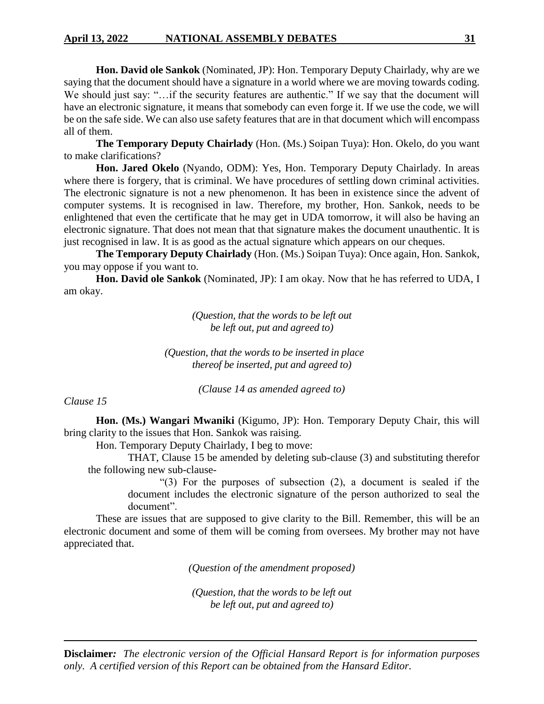**Hon. David ole Sankok** (Nominated, JP): Hon. Temporary Deputy Chairlady, why are we saying that the document should have a signature in a world where we are moving towards coding. We should just say: "…if the security features are authentic." If we say that the document will have an electronic signature, it means that somebody can even forge it. If we use the code, we will be on the safe side. We can also use safety features that are in that document which will encompass all of them.

**The Temporary Deputy Chairlady** (Hon. (Ms.) Soipan Tuya): Hon. Okelo, do you want to make clarifications?

**Hon. Jared Okelo** (Nyando, ODM): Yes, Hon. Temporary Deputy Chairlady. In areas where there is forgery, that is criminal. We have procedures of settling down criminal activities. The electronic signature is not a new phenomenon. It has been in existence since the advent of computer systems. It is recognised in law. Therefore, my brother, Hon. Sankok, needs to be enlightened that even the certificate that he may get in UDA tomorrow, it will also be having an electronic signature. That does not mean that that signature makes the document unauthentic. It is just recognised in law. It is as good as the actual signature which appears on our cheques.

**The Temporary Deputy Chairlady** (Hon. (Ms.) Soipan Tuya): Once again, Hon. Sankok, you may oppose if you want to.

**Hon. David ole Sankok** (Nominated, JP): I am okay. Now that he has referred to UDA, I am okay.

> *(Question, that the words to be left out be left out, put and agreed to)*

*(Question, that the words to be inserted in place thereof be inserted, put and agreed to)*

*(Clause 14 as amended agreed to)*

*Clause 15*

**Hon. (Ms.) Wangari Mwaniki** (Kigumo, JP): Hon. Temporary Deputy Chair, this will bring clarity to the issues that Hon. Sankok was raising.

Hon. Temporary Deputy Chairlady, I beg to move:

THAT, Clause 15 be amended by deleting sub-clause (3) and substituting therefor the following new sub-clause-

> "(3) For the purposes of subsection (2), a document is sealed if the document includes the electronic signature of the person authorized to seal the document".

These are issues that are supposed to give clarity to the Bill. Remember, this will be an electronic document and some of them will be coming from oversees. My brother may not have appreciated that.

*(Question of the amendment proposed)*

*(Question, that the words to be left out be left out, put and agreed to)*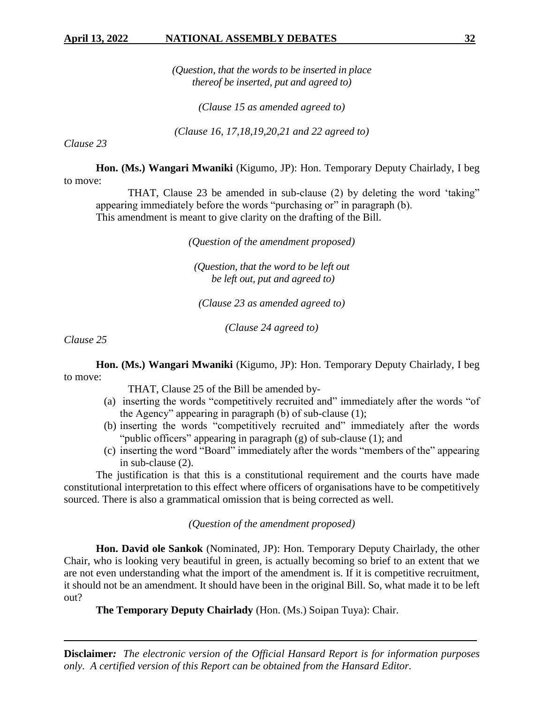*(Question, that the words to be inserted in place thereof be inserted, put and agreed to)*

*(Clause 15 as amended agreed to)*

*(Clause 16, 17,18,19,20,21 and 22 agreed to)*

*Clause 23*

**Hon. (Ms.) Wangari Mwaniki** (Kigumo, JP): Hon. Temporary Deputy Chairlady, I beg to move:

THAT, Clause 23 be amended in sub-clause (2) by deleting the word 'taking" appearing immediately before the words "purchasing or" in paragraph (b). This amendment is meant to give clarity on the drafting of the Bill.

*(Question of the amendment proposed)*

*(Question, that the word to be left out be left out, put and agreed to)*

*(Clause 23 as amended agreed to)*

*(Clause 24 agreed to)*

*Clause 25*

**Hon. (Ms.) Wangari Mwaniki** (Kigumo, JP): Hon. Temporary Deputy Chairlady, I beg to move:

THAT, Clause 25 of the Bill be amended by-

- (a) inserting the words "competitively recruited and" immediately after the words "of the Agency" appearing in paragraph (b) of sub-clause (1);
- (b) inserting the words "competitively recruited and" immediately after the words "public officers" appearing in paragraph (g) of sub-clause (1); and
- (c) inserting the word "Board" immediately after the words "members of the" appearing in sub-clause (2).

The justification is that this is a constitutional requirement and the courts have made constitutional interpretation to this effect where officers of organisations have to be competitively sourced. There is also a grammatical omission that is being corrected as well.

*(Question of the amendment proposed)* 

**Hon. David ole Sankok** (Nominated, JP): Hon. Temporary Deputy Chairlady, the other Chair, who is looking very beautiful in green, is actually becoming so brief to an extent that we are not even understanding what the import of the amendment is. If it is competitive recruitment, it should not be an amendment. It should have been in the original Bill. So, what made it to be left out?

**The Temporary Deputy Chairlady** (Hon. (Ms.) Soipan Tuya): Chair.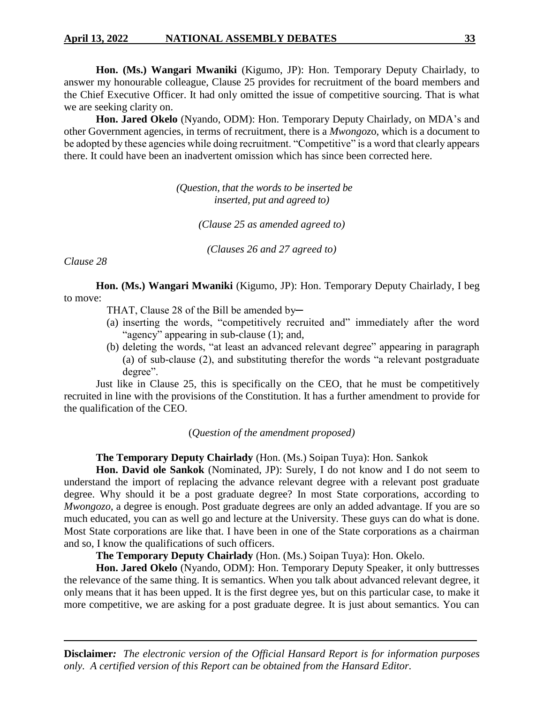# **April 13, 2022 NATIONAL ASSEMBLY DEBATES 33**

**Hon. (Ms.) Wangari Mwaniki** (Kigumo, JP): Hon. Temporary Deputy Chairlady, to answer my honourable colleague, Clause 25 provides for recruitment of the board members and the Chief Executive Officer. It had only omitted the issue of competitive sourcing. That is what we are seeking clarity on.

**Hon. Jared Okelo** (Nyando, ODM): Hon. Temporary Deputy Chairlady, on MDA's and other Government agencies, in terms of recruitment, there is a *Mwongoz*o, which is a document to be adopted by these agencies while doing recruitment. "Competitive" is a word that clearly appears there. It could have been an inadvertent omission which has since been corrected here.

> *(Question, that the words to be inserted be inserted, put and agreed to)*

> > *(Clause 25 as amended agreed to)*

*(Clauses 26 and 27 agreed to)*

*Clause 28*

**Hon. (Ms.) Wangari Mwaniki** (Kigumo, JP): Hon. Temporary Deputy Chairlady, I beg to move:

THAT, Clause 28 of the Bill be amended by-

- (a) inserting the words, "competitively recruited and" immediately after the word "agency" appearing in sub-clause (1); and,
- (b) deleting the words, "at least an advanced relevant degree" appearing in paragraph (a) of sub-clause (2), and substituting therefor the words "a relevant postgraduate degree".

Just like in Clause 25, this is specifically on the CEO, that he must be competitively recruited in line with the provisions of the Constitution. It has a further amendment to provide for the qualification of the CEO.

(*Question of the amendment proposed)*

**The Temporary Deputy Chairlady** (Hon. (Ms.) Soipan Tuya): Hon. Sankok

**Hon. David ole Sankok** (Nominated, JP): Surely, I do not know and I do not seem to understand the import of replacing the advance relevant degree with a relevant post graduate degree. Why should it be a post graduate degree? In most State corporations, according to *Mwongozo*, a degree is enough. Post graduate degrees are only an added advantage. If you are so much educated, you can as well go and lecture at the University. These guys can do what is done. Most State corporations are like that. I have been in one of the State corporations as a chairman and so, I know the qualifications of such officers.

**The Temporary Deputy Chairlady** (Hon. (Ms.) Soipan Tuya): Hon. Okelo.

**Hon. Jared Okelo** (Nyando, ODM): Hon. Temporary Deputy Speaker, it only buttresses the relevance of the same thing. It is semantics. When you talk about advanced relevant degree, it only means that it has been upped. It is the first degree yes, but on this particular case, to make it more competitive, we are asking for a post graduate degree. It is just about semantics. You can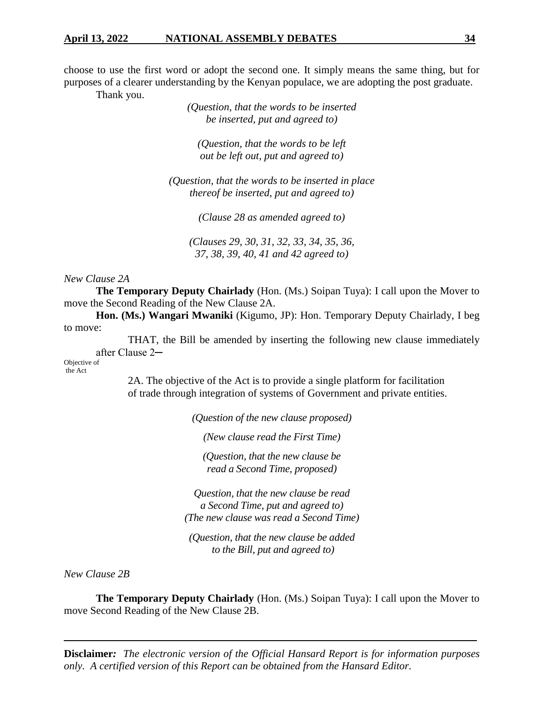choose to use the first word or adopt the second one. It simply means the same thing, but for purposes of a clearer understanding by the Kenyan populace, we are adopting the post graduate.

Thank you.

*(Question, that the words to be inserted be inserted, put and agreed to)*

*(Question, that the words to be left out be left out, put and agreed to)*

*(Question, that the words to be inserted in place thereof be inserted, put and agreed to)*

*(Clause 28 as amended agreed to)*

*(Clauses 29, 30, 31, 32, 33, 34, 35, 36, 37, 38, 39, 40, 41 and 42 agreed to)*

*New Clause 2A*

**The Temporary Deputy Chairlady** (Hon. (Ms.) Soipan Tuya): I call upon the Mover to move the Second Reading of the New Clause 2A.

**Hon. (Ms.) Wangari Mwaniki** (Kigumo, JP): Hon. Temporary Deputy Chairlady, I beg to move:

THAT, the Bill be amended by inserting the following new clause immediately after Clause 2─

Objective of the Act

> 2A. The objective of the Act is to provide a single platform for facilitation of trade through integration of systems of Government and private entities.

> > *(Question of the new clause proposed)*

*(New clause read the First Time)*

*(Question, that the new clause be read a Second Time, proposed)*

*Question, that the new clause be read a Second Time, put and agreed to) (The new clause was read a Second Time)*

*(Question, that the new clause be added to the Bill, put and agreed to)*

*New Clause 2B*

**The Temporary Deputy Chairlady** (Hon. (Ms.) Soipan Tuya): I call upon the Mover to move Second Reading of the New Clause 2B.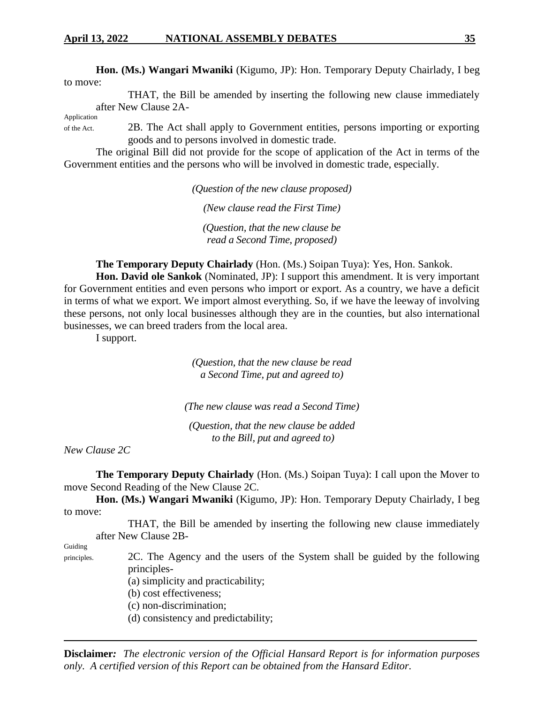**Hon. (Ms.) Wangari Mwaniki** (Kigumo, JP): Hon. Temporary Deputy Chairlady, I beg to move:

THAT, the Bill be amended by inserting the following new clause immediately after New Clause 2A-

Application

of the Act. 2B. The Act shall apply to Government entities, persons importing or exporting goods and to persons involved in domestic trade.

The original Bill did not provide for the scope of application of the Act in terms of the Government entities and the persons who will be involved in domestic trade, especially.

*(Question of the new clause proposed)*

*(New clause read the First Time)*

*(Question, that the new clause be read a Second Time, proposed)*

**The Temporary Deputy Chairlady** (Hon. (Ms.) Soipan Tuya): Yes, Hon. Sankok.

**Hon. David ole Sankok** (Nominated, JP): I support this amendment. It is very important for Government entities and even persons who import or export. As a country, we have a deficit in terms of what we export. We import almost everything. So, if we have the leeway of involving these persons, not only local businesses although they are in the counties, but also international businesses, we can breed traders from the local area.

I support.

*(Question, that the new clause be read a Second Time, put and agreed to)*

*(The new clause was read a Second Time)*

*(Question, that the new clause be added to the Bill, put and agreed to)*

*New Clause 2C*

**The Temporary Deputy Chairlady** (Hon. (Ms.) Soipan Tuya): I call upon the Mover to move Second Reading of the New Clause 2C.

**Hon. (Ms.) Wangari Mwaniki** (Kigumo, JP): Hon. Temporary Deputy Chairlady, I beg to move:

THAT, the Bill be amended by inserting the following new clause immediately after New Clause 2B-

Guiding

principles. 2C. The Agency and the users of the System shall be guided by the following principles-

- (a) simplicity and practicability;
- (b) cost effectiveness;
- (c) non-discrimination;
- (d) consistency and predictability;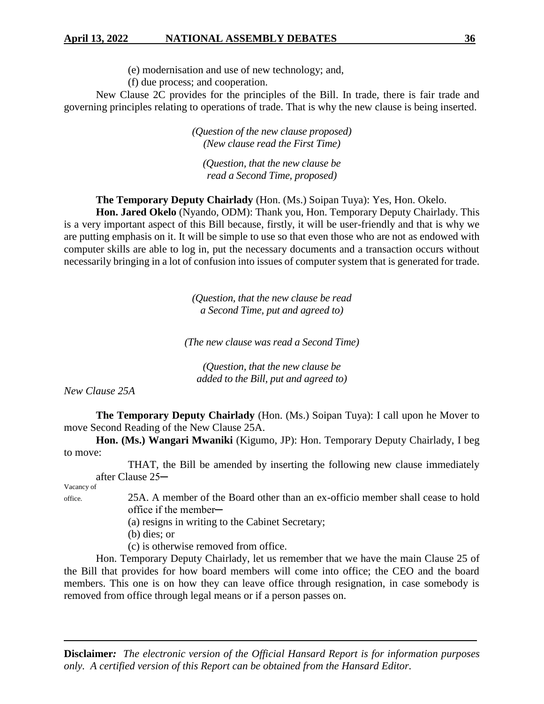(e) modernisation and use of new technology; and,

(f) due process; and cooperation.

New Clause 2C provides for the principles of the Bill. In trade, there is fair trade and governing principles relating to operations of trade. That is why the new clause is being inserted.

> *(Question of the new clause proposed) (New clause read the First Time)*

*(Question, that the new clause be read a Second Time, proposed)*

**The Temporary Deputy Chairlady** (Hon. (Ms.) Soipan Tuya): Yes, Hon. Okelo.

**Hon. Jared Okelo** (Nyando, ODM): Thank you, Hon. Temporary Deputy Chairlady. This is a very important aspect of this Bill because, firstly, it will be user-friendly and that is why we are putting emphasis on it. It will be simple to use so that even those who are not as endowed with computer skills are able to log in, put the necessary documents and a transaction occurs without necessarily bringing in a lot of confusion into issues of computer system that is generated for trade.

> *(Question, that the new clause be read a Second Time, put and agreed to)*

*(The new clause was read a Second Time)*

*(Question, that the new clause be added to the Bill, put and agreed to)*

*New Clause 25A*

**The Temporary Deputy Chairlady** (Hon. (Ms.) Soipan Tuya): I call upon he Mover to move Second Reading of the New Clause 25A.

**Hon. (Ms.) Wangari Mwaniki** (Kigumo, JP): Hon. Temporary Deputy Chairlady, I beg to move:

THAT, the Bill be amended by inserting the following new clause immediately after Clause 25─

Vacancy of

office. 25A. A member of the Board other than an ex-officio member shall cease to hold office if the member─

(a) resigns in writing to the Cabinet Secretary;

- (b) dies; or
- (c) is otherwise removed from office.

Hon. Temporary Deputy Chairlady, let us remember that we have the main Clause 25 of the Bill that provides for how board members will come into office; the CEO and the board members. This one is on how they can leave office through resignation, in case somebody is removed from office through legal means or if a person passes on.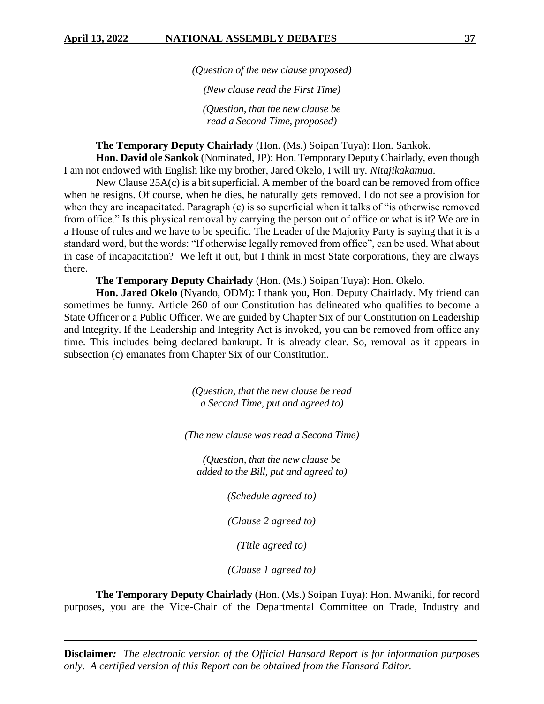*(Question of the new clause proposed)*

*(New clause read the First Time)*

*(Question, that the new clause be read a Second Time, proposed)*

**The Temporary Deputy Chairlady** (Hon. (Ms.) Soipan Tuya): Hon. Sankok.

**Hon. David ole Sankok** (Nominated, JP): Hon. Temporary Deputy Chairlady, even though I am not endowed with English like my brother, Jared Okelo, I will try. *Nitajikakamua.*

New Clause 25A(c) is a bit superficial. A member of the board can be removed from office when he resigns. Of course, when he dies, he naturally gets removed. I do not see a provision for when they are incapacitated. Paragraph (c) is so superficial when it talks of "is otherwise removed from office." Is this physical removal by carrying the person out of office or what is it? We are in a House of rules and we have to be specific. The Leader of the Majority Party is saying that it is a standard word, but the words: "If otherwise legally removed from office", can be used. What about in case of incapacitation? We left it out, but I think in most State corporations, they are always there.

**The Temporary Deputy Chairlady** (Hon. (Ms.) Soipan Tuya): Hon. Okelo.

**Hon. Jared Okelo** (Nyando, ODM): I thank you, Hon. Deputy Chairlady. My friend can sometimes be funny. Article 260 of our Constitution has delineated who qualifies to become a State Officer or a Public Officer. We are guided by Chapter Six of our Constitution on Leadership and Integrity. If the Leadership and Integrity Act is invoked, you can be removed from office any time. This includes being declared bankrupt. It is already clear. So, removal as it appears in subsection (c) emanates from Chapter Six of our Constitution.

> *(Question, that the new clause be read a Second Time, put and agreed to)*

*(The new clause was read a Second Time)*

*(Question, that the new clause be added to the Bill, put and agreed to)*

*(Schedule agreed to)*

*(Clause 2 agreed to)*

*(Title agreed to)*

*(Clause 1 agreed to)*

**The Temporary Deputy Chairlady** (Hon. (Ms.) Soipan Tuya): Hon. Mwaniki, for record purposes, you are the Vice-Chair of the Departmental Committee on Trade, Industry and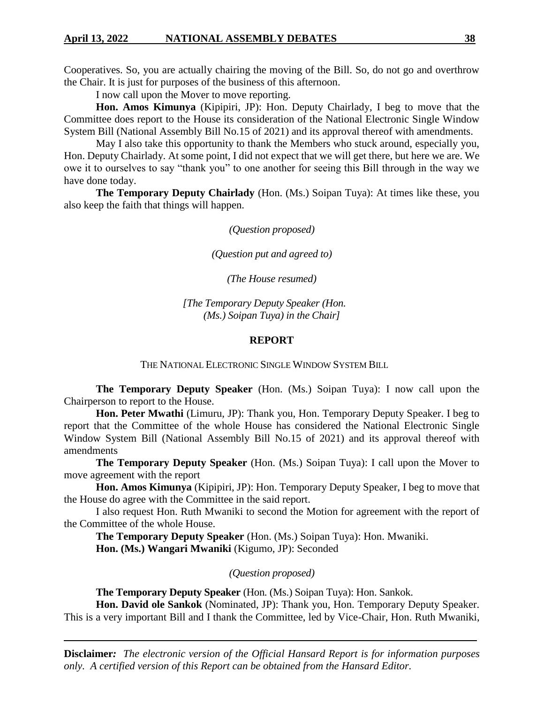Cooperatives. So, you are actually chairing the moving of the Bill. So, do not go and overthrow the Chair. It is just for purposes of the business of this afternoon.

I now call upon the Mover to move reporting.

**Hon. Amos Kimunya** (Kipipiri, JP): Hon. Deputy Chairlady, I beg to move that the Committee does report to the House its consideration of the National Electronic Single Window System Bill (National Assembly Bill No.15 of 2021) and its approval thereof with amendments.

May I also take this opportunity to thank the Members who stuck around, especially you, Hon. Deputy Chairlady. At some point, I did not expect that we will get there, but here we are. We owe it to ourselves to say "thank you" to one another for seeing this Bill through in the way we have done today.

**The Temporary Deputy Chairlady** (Hon. (Ms.) Soipan Tuya): At times like these, you also keep the faith that things will happen.

*(Question proposed)*

*(Question put and agreed to)*

*(The House resumed)*

*[The Temporary Deputy Speaker (Hon. (Ms.) Soipan Tuya) in the Chair]*

#### **REPORT**

THE NATIONAL ELECTRONIC SINGLE WINDOW SYSTEM BILL

**The Temporary Deputy Speaker** (Hon. (Ms.) Soipan Tuya): I now call upon the Chairperson to report to the House.

**Hon. Peter Mwathi** (Limuru, JP): Thank you, Hon. Temporary Deputy Speaker. I beg to report that the Committee of the whole House has considered the National Electronic Single Window System Bill (National Assembly Bill No.15 of 2021) and its approval thereof with amendments

**The Temporary Deputy Speaker** (Hon. (Ms.) Soipan Tuya): I call upon the Mover to move agreement with the report

**Hon. Amos Kimunya** (Kipipiri, JP): Hon. Temporary Deputy Speaker, I beg to move that the House do agree with the Committee in the said report.

I also request Hon. Ruth Mwaniki to second the Motion for agreement with the report of the Committee of the whole House.

**The Temporary Deputy Speaker** (Hon. (Ms.) Soipan Tuya): Hon. Mwaniki. **Hon. (Ms.) Wangari Mwaniki** (Kigumo, JP): Seconded

*(Question proposed)*

**The Temporary Deputy Speaker** (Hon. (Ms.) Soipan Tuya): Hon. Sankok.

**Hon. David ole Sankok** (Nominated, JP): Thank you, Hon. Temporary Deputy Speaker. This is a very important Bill and I thank the Committee, led by Vice-Chair, Hon. Ruth Mwaniki,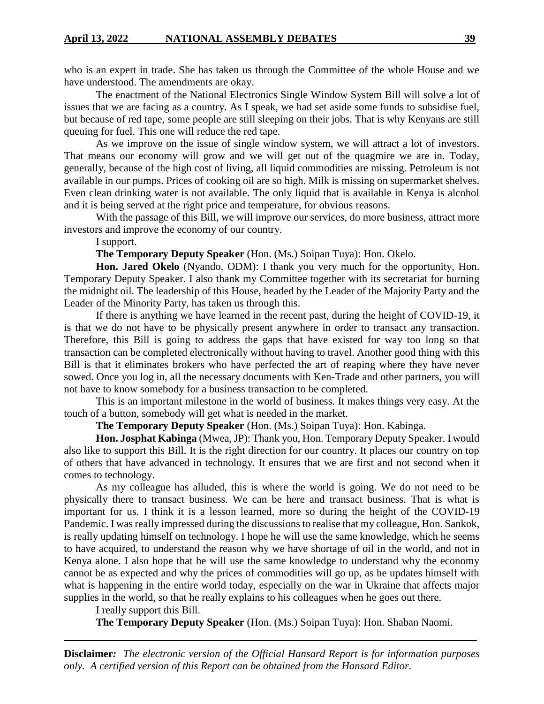who is an expert in trade. She has taken us through the Committee of the whole House and we have understood. The amendments are okay.

The enactment of the National Electronics Single Window System Bill will solve a lot of issues that we are facing as a country. As I speak, we had set aside some funds to subsidise fuel, but because of red tape, some people are still sleeping on their jobs. That is why Kenyans are still queuing for fuel. This one will reduce the red tape.

As we improve on the issue of single window system, we will attract a lot of investors. That means our economy will grow and we will get out of the quagmire we are in. Today, generally, because of the high cost of living, all liquid commodities are missing. Petroleum is not available in our pumps. Prices of cooking oil are so high. Milk is missing on supermarket shelves. Even clean drinking water is not available. The only liquid that is available in Kenya is alcohol and it is being served at the right price and temperature, for obvious reasons.

With the passage of this Bill, we will improve our services, do more business, attract more investors and improve the economy of our country.

I support.

**The Temporary Deputy Speaker** (Hon. (Ms.) Soipan Tuya): Hon. Okelo.

**Hon. Jared Okelo** (Nyando, ODM): I thank you very much for the opportunity, Hon. Temporary Deputy Speaker. I also thank my Committee together with its secretariat for burning the midnight oil. The leadership of this House, headed by the Leader of the Majority Party and the Leader of the Minority Party, has taken us through this.

If there is anything we have learned in the recent past, during the height of COVID-19, it is that we do not have to be physically present anywhere in order to transact any transaction. Therefore, this Bill is going to address the gaps that have existed for way too long so that transaction can be completed electronically without having to travel. Another good thing with this Bill is that it eliminates brokers who have perfected the art of reaping where they have never sowed. Once you log in, all the necessary documents with Ken-Trade and other partners, you will not have to know somebody for a business transaction to be completed.

This is an important milestone in the world of business. It makes things very easy. At the touch of a button, somebody will get what is needed in the market.

**The Temporary Deputy Speaker** (Hon. (Ms.) Soipan Tuya): Hon. Kabinga.

**Hon. Josphat Kabinga** (Mwea, JP): Thank you, Hon. Temporary Deputy Speaker. I would also like to support this Bill. It is the right direction for our country. It places our country on top of others that have advanced in technology. It ensures that we are first and not second when it comes to technology.

As my colleague has alluded, this is where the world is going. We do not need to be physically there to transact business. We can be here and transact business. That is what is important for us. I think it is a lesson learned, more so during the height of the COVID-19 Pandemic. I was really impressed during the discussions to realise that my colleague, Hon. Sankok, is really updating himself on technology. I hope he will use the same knowledge, which he seems to have acquired, to understand the reason why we have shortage of oil in the world, and not in Kenya alone. I also hope that he will use the same knowledge to understand why the economy cannot be as expected and why the prices of commodities will go up, as he updates himself with what is happening in the entire world today, especially on the war in Ukraine that affects major supplies in the world, so that he really explains to his colleagues when he goes out there.

I really support this Bill.

**The Temporary Deputy Speaker** (Hon. (Ms.) Soipan Tuya): Hon. Shaban Naomi.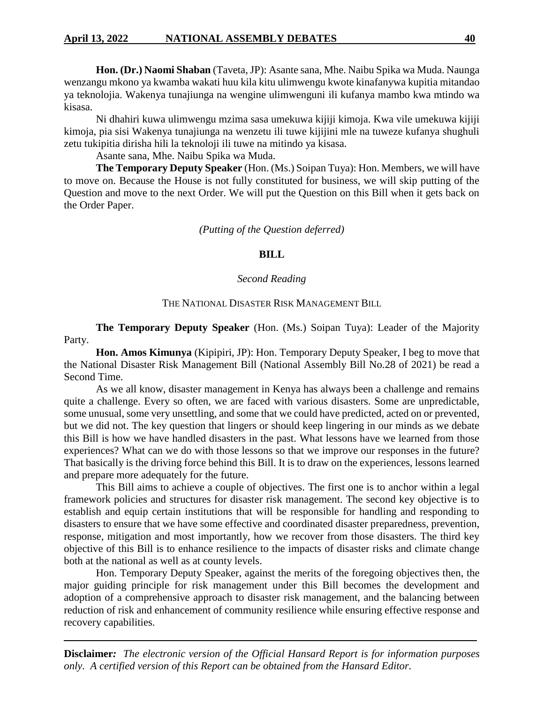**Hon. (Dr.) Naomi Shaban** (Taveta, JP): Asante sana, Mhe. Naibu Spika wa Muda. Naunga wenzangu mkono ya kwamba wakati huu kila kitu ulimwengu kwote kinafanywa kupitia mitandao ya teknolojia. Wakenya tunajiunga na wengine ulimwenguni ili kufanya mambo kwa mtindo wa kisasa.

Ni dhahiri kuwa ulimwengu mzima sasa umekuwa kijiji kimoja. Kwa vile umekuwa kijiji kimoja, pia sisi Wakenya tunajiunga na wenzetu ili tuwe kijijini mle na tuweze kufanya shughuli zetu tukipitia dirisha hili la teknoloji ili tuwe na mitindo ya kisasa.

Asante sana, Mhe. Naibu Spika wa Muda.

**The Temporary Deputy Speaker** (Hon. (Ms.) Soipan Tuya): Hon. Members, we will have to move on. Because the House is not fully constituted for business, we will skip putting of the Question and move to the next Order. We will put the Question on this Bill when it gets back on the Order Paper.

### *(Putting of the Question deferred)*

# **BILL**

### *Second Reading*

# THE NATIONAL DISASTER RISK MANAGEMENT BILL

**The Temporary Deputy Speaker** (Hon. (Ms.) Soipan Tuya): Leader of the Majority Party.

**Hon. Amos Kimunya** (Kipipiri, JP): Hon. Temporary Deputy Speaker, I beg to move that the National Disaster Risk Management Bill (National Assembly Bill No.28 of 2021) be read a Second Time.

As we all know, disaster management in Kenya has always been a challenge and remains quite a challenge. Every so often, we are faced with various disasters. Some are unpredictable, some unusual, some very unsettling, and some that we could have predicted, acted on or prevented, but we did not. The key question that lingers or should keep lingering in our minds as we debate this Bill is how we have handled disasters in the past. What lessons have we learned from those experiences? What can we do with those lessons so that we improve our responses in the future? That basically is the driving force behind this Bill. It is to draw on the experiences, lessons learned and prepare more adequately for the future.

This Bill aims to achieve a couple of objectives. The first one is to anchor within a legal framework policies and structures for disaster risk management. The second key objective is to establish and equip certain institutions that will be responsible for handling and responding to disasters to ensure that we have some effective and coordinated disaster preparedness, prevention, response, mitigation and most importantly, how we recover from those disasters. The third key objective of this Bill is to enhance resilience to the impacts of disaster risks and climate change both at the national as well as at county levels.

Hon. Temporary Deputy Speaker, against the merits of the foregoing objectives then, the major guiding principle for risk management under this Bill becomes the development and adoption of a comprehensive approach to disaster risk management, and the balancing between reduction of risk and enhancement of community resilience while ensuring effective response and recovery capabilities.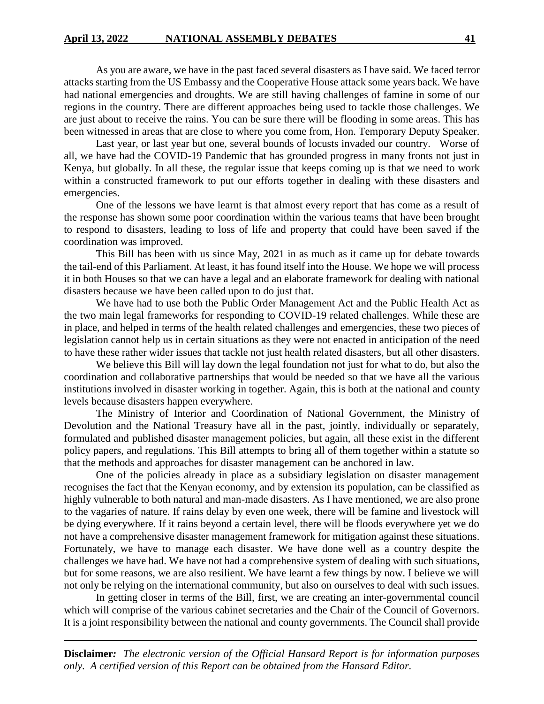As you are aware, we have in the past faced several disasters as I have said. We faced terror attacks starting from the US Embassy and the Cooperative House attack some years back. We have had national emergencies and droughts. We are still having challenges of famine in some of our regions in the country. There are different approaches being used to tackle those challenges. We are just about to receive the rains. You can be sure there will be flooding in some areas. This has been witnessed in areas that are close to where you come from, Hon. Temporary Deputy Speaker.

Last year, or last year but one, several bounds of locusts invaded our country. Worse of all, we have had the COVID-19 Pandemic that has grounded progress in many fronts not just in Kenya, but globally. In all these, the regular issue that keeps coming up is that we need to work within a constructed framework to put our efforts together in dealing with these disasters and emergencies.

One of the lessons we have learnt is that almost every report that has come as a result of the response has shown some poor coordination within the various teams that have been brought to respond to disasters, leading to loss of life and property that could have been saved if the coordination was improved.

This Bill has been with us since May, 2021 in as much as it came up for debate towards the tail-end of this Parliament. At least, it has found itself into the House. We hope we will process it in both Houses so that we can have a legal and an elaborate framework for dealing with national disasters because we have been called upon to do just that.

We have had to use both the Public Order Management Act and the Public Health Act as the two main legal frameworks for responding to COVID-19 related challenges. While these are in place, and helped in terms of the health related challenges and emergencies, these two pieces of legislation cannot help us in certain situations as they were not enacted in anticipation of the need to have these rather wider issues that tackle not just health related disasters, but all other disasters.

We believe this Bill will lay down the legal foundation not just for what to do, but also the coordination and collaborative partnerships that would be needed so that we have all the various institutions involved in disaster working in together. Again, this is both at the national and county levels because disasters happen everywhere.

The Ministry of Interior and Coordination of National Government, the Ministry of Devolution and the National Treasury have all in the past, jointly, individually or separately, formulated and published disaster management policies, but again, all these exist in the different policy papers, and regulations. This Bill attempts to bring all of them together within a statute so that the methods and approaches for disaster management can be anchored in law.

One of the policies already in place as a subsidiary legislation on disaster management recognises the fact that the Kenyan economy, and by extension its population, can be classified as highly vulnerable to both natural and man-made disasters. As I have mentioned, we are also prone to the vagaries of nature. If rains delay by even one week, there will be famine and livestock will be dying everywhere. If it rains beyond a certain level, there will be floods everywhere yet we do not have a comprehensive disaster management framework for mitigation against these situations. Fortunately, we have to manage each disaster. We have done well as a country despite the challenges we have had. We have not had a comprehensive system of dealing with such situations, but for some reasons, we are also resilient. We have learnt a few things by now. I believe we will not only be relying on the international community, but also on ourselves to deal with such issues.

In getting closer in terms of the Bill, first, we are creating an inter-governmental council which will comprise of the various cabinet secretaries and the Chair of the Council of Governors. It is a joint responsibility between the national and county governments. The Council shall provide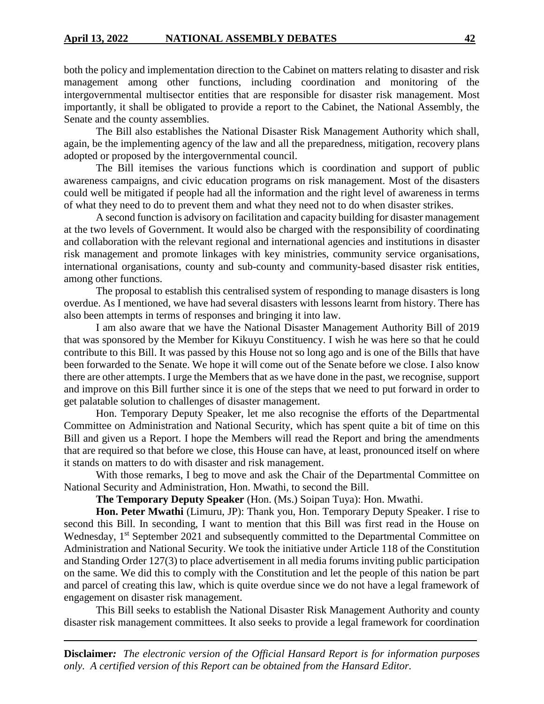both the policy and implementation direction to the Cabinet on matters relating to disaster and risk management among other functions, including coordination and monitoring of the intergovernmental multisector entities that are responsible for disaster risk management. Most importantly, it shall be obligated to provide a report to the Cabinet, the National Assembly, the Senate and the county assemblies.

The Bill also establishes the National Disaster Risk Management Authority which shall, again, be the implementing agency of the law and all the preparedness, mitigation, recovery plans adopted or proposed by the intergovernmental council.

The Bill itemises the various functions which is coordination and support of public awareness campaigns, and civic education programs on risk management. Most of the disasters could well be mitigated if people had all the information and the right level of awareness in terms of what they need to do to prevent them and what they need not to do when disaster strikes.

A second function is advisory on facilitation and capacity building for disaster management at the two levels of Government. It would also be charged with the responsibility of coordinating and collaboration with the relevant regional and international agencies and institutions in disaster risk management and promote linkages with key ministries, community service organisations, international organisations, county and sub-county and community-based disaster risk entities, among other functions.

The proposal to establish this centralised system of responding to manage disasters is long overdue. As I mentioned, we have had several disasters with lessons learnt from history. There has also been attempts in terms of responses and bringing it into law.

I am also aware that we have the National Disaster Management Authority Bill of 2019 that was sponsored by the Member for Kikuyu Constituency. I wish he was here so that he could contribute to this Bill. It was passed by this House not so long ago and is one of the Bills that have been forwarded to the Senate. We hope it will come out of the Senate before we close. I also know there are other attempts. I urge the Members that as we have done in the past, we recognise, support and improve on this Bill further since it is one of the steps that we need to put forward in order to get palatable solution to challenges of disaster management.

Hon. Temporary Deputy Speaker, let me also recognise the efforts of the Departmental Committee on Administration and National Security, which has spent quite a bit of time on this Bill and given us a Report. I hope the Members will read the Report and bring the amendments that are required so that before we close, this House can have, at least, pronounced itself on where it stands on matters to do with disaster and risk management.

With those remarks, I beg to move and ask the Chair of the Departmental Committee on National Security and Administration, Hon. Mwathi, to second the Bill.

**The Temporary Deputy Speaker** (Hon. (Ms.) Soipan Tuya): Hon. Mwathi.

**Hon. Peter Mwathi** (Limuru, JP): Thank you, Hon. Temporary Deputy Speaker. I rise to second this Bill. In seconding, I want to mention that this Bill was first read in the House on Wednesday, 1<sup>st</sup> September 2021 and subsequently committed to the Departmental Committee on Administration and National Security. We took the initiative under Article 118 of the Constitution and Standing Order 127(3) to place advertisement in all media forums inviting public participation on the same. We did this to comply with the Constitution and let the people of this nation be part and parcel of creating this law, which is quite overdue since we do not have a legal framework of engagement on disaster risk management.

This Bill seeks to establish the National Disaster Risk Management Authority and county disaster risk management committees. It also seeks to provide a legal framework for coordination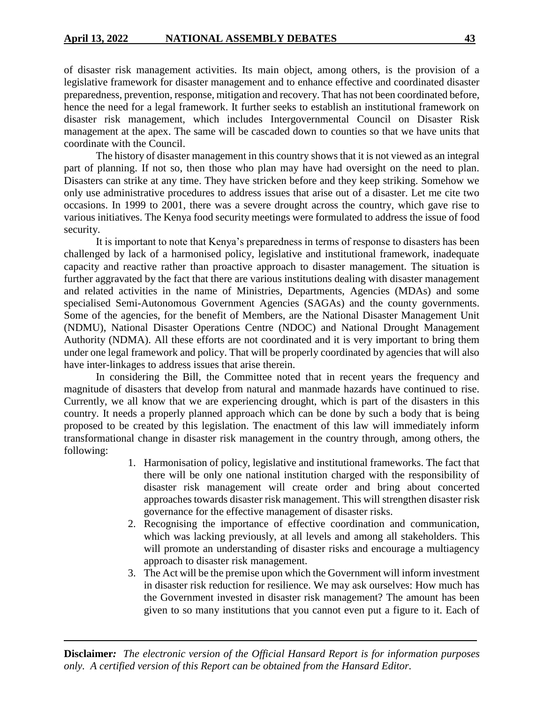of disaster risk management activities. Its main object, among others, is the provision of a legislative framework for disaster management and to enhance effective and coordinated disaster preparedness, prevention, response, mitigation and recovery. That has not been coordinated before, hence the need for a legal framework. It further seeks to establish an institutional framework on disaster risk management, which includes Intergovernmental Council on Disaster Risk management at the apex. The same will be cascaded down to counties so that we have units that coordinate with the Council.

The history of disaster management in this country shows that it is not viewed as an integral part of planning. If not so, then those who plan may have had oversight on the need to plan. Disasters can strike at any time. They have stricken before and they keep striking. Somehow we only use administrative procedures to address issues that arise out of a disaster. Let me cite two occasions. In 1999 to 2001, there was a severe drought across the country, which gave rise to various initiatives. The Kenya food security meetings were formulated to address the issue of food security.

It is important to note that Kenya's preparedness in terms of response to disasters has been challenged by lack of a harmonised policy, legislative and institutional framework, inadequate capacity and reactive rather than proactive approach to disaster management. The situation is further aggravated by the fact that there are various institutions dealing with disaster management and related activities in the name of Ministries, Departments, Agencies (MDAs) and some specialised Semi-Autonomous Government Agencies (SAGAs) and the county governments. Some of the agencies, for the benefit of Members, are the National Disaster Management Unit (NDMU), National Disaster Operations Centre (NDOC) and National Drought Management Authority (NDMA). All these efforts are not coordinated and it is very important to bring them under one legal framework and policy. That will be properly coordinated by agencies that will also have inter-linkages to address issues that arise therein.

In considering the Bill, the Committee noted that in recent years the frequency and magnitude of disasters that develop from natural and manmade hazards have continued to rise. Currently, we all know that we are experiencing drought, which is part of the disasters in this country. It needs a properly planned approach which can be done by such a body that is being proposed to be created by this legislation. The enactment of this law will immediately inform transformational change in disaster risk management in the country through, among others, the following:

- 1. Harmonisation of policy, legislative and institutional frameworks. The fact that there will be only one national institution charged with the responsibility of disaster risk management will create order and bring about concerted approaches towards disaster risk management. This will strengthen disaster risk governance for the effective management of disaster risks.
- 2. Recognising the importance of effective coordination and communication, which was lacking previously, at all levels and among all stakeholders. This will promote an understanding of disaster risks and encourage a multiagency approach to disaster risk management.
- 3. The Act will be the premise upon which the Government will inform investment in disaster risk reduction for resilience. We may ask ourselves: How much has the Government invested in disaster risk management? The amount has been given to so many institutions that you cannot even put a figure to it. Each of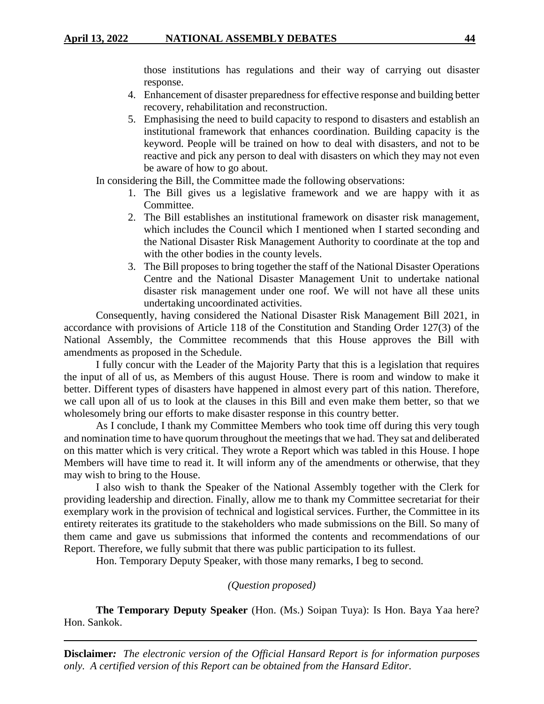those institutions has regulations and their way of carrying out disaster response.

- 4. Enhancement of disaster preparedness for effective response and building better recovery, rehabilitation and reconstruction.
- 5. Emphasising the need to build capacity to respond to disasters and establish an institutional framework that enhances coordination. Building capacity is the keyword. People will be trained on how to deal with disasters, and not to be reactive and pick any person to deal with disasters on which they may not even be aware of how to go about.

In considering the Bill, the Committee made the following observations:

- 1. The Bill gives us a legislative framework and we are happy with it as Committee.
- 2. The Bill establishes an institutional framework on disaster risk management, which includes the Council which I mentioned when I started seconding and the National Disaster Risk Management Authority to coordinate at the top and with the other bodies in the county levels.
- 3. The Bill proposes to bring together the staff of the National Disaster Operations Centre and the National Disaster Management Unit to undertake national disaster risk management under one roof. We will not have all these units undertaking uncoordinated activities.

Consequently, having considered the National Disaster Risk Management Bill 2021, in accordance with provisions of Article 118 of the Constitution and Standing Order 127(3) of the National Assembly, the Committee recommends that this House approves the Bill with amendments as proposed in the Schedule.

I fully concur with the Leader of the Majority Party that this is a legislation that requires the input of all of us, as Members of this august House. There is room and window to make it better. Different types of disasters have happened in almost every part of this nation. Therefore, we call upon all of us to look at the clauses in this Bill and even make them better, so that we wholesomely bring our efforts to make disaster response in this country better.

As I conclude, I thank my Committee Members who took time off during this very tough and nomination time to have quorum throughout the meetings that we had. They sat and deliberated on this matter which is very critical. They wrote a Report which was tabled in this House. I hope Members will have time to read it. It will inform any of the amendments or otherwise, that they may wish to bring to the House.

I also wish to thank the Speaker of the National Assembly together with the Clerk for providing leadership and direction. Finally, allow me to thank my Committee secretariat for their exemplary work in the provision of technical and logistical services. Further, the Committee in its entirety reiterates its gratitude to the stakeholders who made submissions on the Bill. So many of them came and gave us submissions that informed the contents and recommendations of our Report. Therefore, we fully submit that there was public participation to its fullest.

Hon. Temporary Deputy Speaker, with those many remarks, I beg to second.

*(Question proposed)*

**The Temporary Deputy Speaker** (Hon. (Ms.) Soipan Tuya): Is Hon. Baya Yaa here? Hon. Sankok.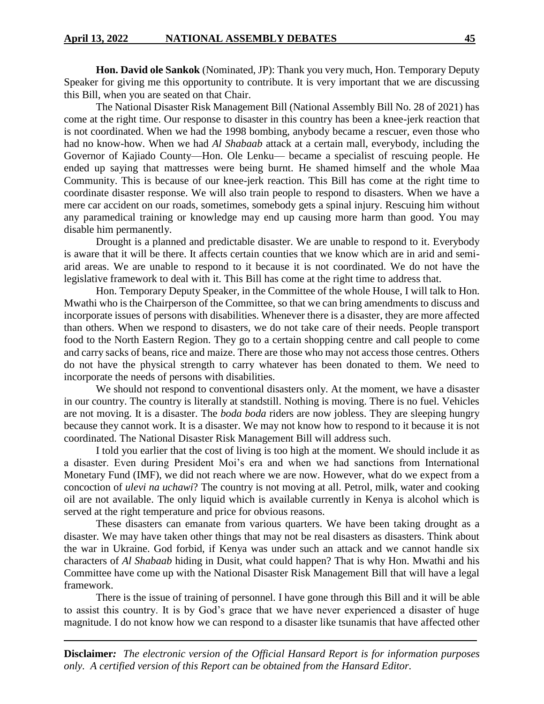**Hon. David ole Sankok** (Nominated, JP): Thank you very much, Hon. Temporary Deputy Speaker for giving me this opportunity to contribute. It is very important that we are discussing this Bill, when you are seated on that Chair.

The National Disaster Risk Management Bill (National Assembly Bill No. 28 of 2021) has come at the right time. Our response to disaster in this country has been a knee-jerk reaction that is not coordinated. When we had the 1998 bombing, anybody became a rescuer, even those who had no know-how. When we had *Al Shabaab* attack at a certain mall, everybody, including the Governor of Kajiado County—Hon. Ole Lenku— became a specialist of rescuing people. He ended up saying that mattresses were being burnt. He shamed himself and the whole Maa Community. This is because of our knee-jerk reaction. This Bill has come at the right time to coordinate disaster response. We will also train people to respond to disasters. When we have a mere car accident on our roads, sometimes, somebody gets a spinal injury. Rescuing him without any paramedical training or knowledge may end up causing more harm than good. You may disable him permanently.

Drought is a planned and predictable disaster. We are unable to respond to it. Everybody is aware that it will be there. It affects certain counties that we know which are in arid and semiarid areas. We are unable to respond to it because it is not coordinated. We do not have the legislative framework to deal with it. This Bill has come at the right time to address that.

Hon. Temporary Deputy Speaker, in the Committee of the whole House, I will talk to Hon. Mwathi who is the Chairperson of the Committee, so that we can bring amendments to discuss and incorporate issues of persons with disabilities. Whenever there is a disaster, they are more affected than others. When we respond to disasters, we do not take care of their needs. People transport food to the North Eastern Region. They go to a certain shopping centre and call people to come and carry sacks of beans, rice and maize. There are those who may not access those centres. Others do not have the physical strength to carry whatever has been donated to them. We need to incorporate the needs of persons with disabilities.

We should not respond to conventional disasters only. At the moment, we have a disaster in our country. The country is literally at standstill. Nothing is moving. There is no fuel. Vehicles are not moving. It is a disaster. The *boda boda* riders are now jobless. They are sleeping hungry because they cannot work. It is a disaster. We may not know how to respond to it because it is not coordinated. The National Disaster Risk Management Bill will address such.

I told you earlier that the cost of living is too high at the moment. We should include it as a disaster. Even during President Moi's era and when we had sanctions from International Monetary Fund (IMF), we did not reach where we are now. However, what do we expect from a concoction of *ulevi na uchawi*? The country is not moving at all. Petrol, milk, water and cooking oil are not available. The only liquid which is available currently in Kenya is alcohol which is served at the right temperature and price for obvious reasons.

These disasters can emanate from various quarters. We have been taking drought as a disaster. We may have taken other things that may not be real disasters as disasters. Think about the war in Ukraine. God forbid, if Kenya was under such an attack and we cannot handle six characters of *Al Shabaab* hiding in Dusit, what could happen? That is why Hon. Mwathi and his Committee have come up with the National Disaster Risk Management Bill that will have a legal framework.

There is the issue of training of personnel. I have gone through this Bill and it will be able to assist this country. It is by God's grace that we have never experienced a disaster of huge magnitude. I do not know how we can respond to a disaster like tsunamis that have affected other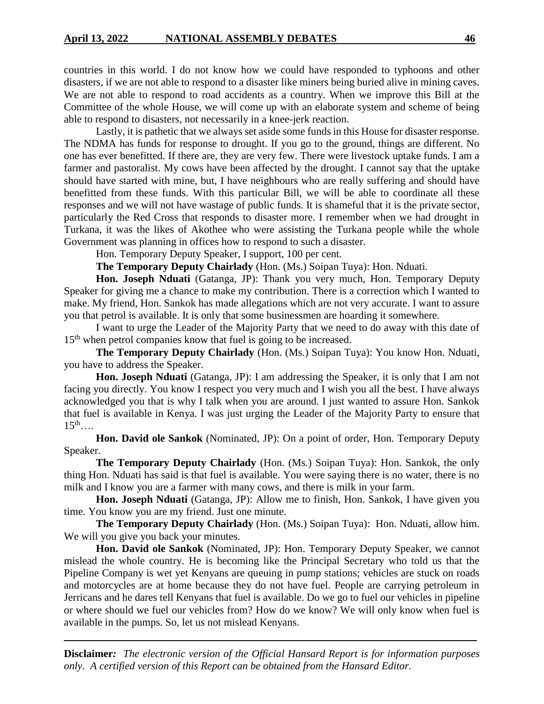countries in this world. I do not know how we could have responded to typhoons and other disasters, if we are not able to respond to a disaster like miners being buried alive in mining caves. We are not able to respond to road accidents as a country. When we improve this Bill at the Committee of the whole House, we will come up with an elaborate system and scheme of being able to respond to disasters, not necessarily in a knee-jerk reaction.

Lastly, it is pathetic that we always set aside some funds in this House for disaster response. The NDMA has funds for response to drought. If you go to the ground, things are different. No one has ever benefitted. If there are, they are very few. There were livestock uptake funds. I am a farmer and pastoralist. My cows have been affected by the drought. I cannot say that the uptake should have started with mine, but, I have neighbours who are really suffering and should have benefitted from these funds. With this particular Bill, we will be able to coordinate all these responses and we will not have wastage of public funds. It is shameful that it is the private sector, particularly the Red Cross that responds to disaster more. I remember when we had drought in Turkana, it was the likes of Akothee who were assisting the Turkana people while the whole Government was planning in offices how to respond to such a disaster.

Hon. Temporary Deputy Speaker, I support, 100 per cent.

**The Temporary Deputy Chairlady** (Hon. (Ms.) Soipan Tuya): Hon. Nduati.

**Hon. Joseph Nduati** (Gatanga, JP): Thank you very much, Hon. Temporary Deputy Speaker for giving me a chance to make my contribution. There is a correction which I wanted to make. My friend, Hon. Sankok has made allegations which are not very accurate. I want to assure you that petrol is available. It is only that some businessmen are hoarding it somewhere.

I want to urge the Leader of the Majority Party that we need to do away with this date of 15<sup>th</sup> when petrol companies know that fuel is going to be increased.

**The Temporary Deputy Chairlady** (Hon. (Ms.) Soipan Tuya): You know Hon. Nduati, you have to address the Speaker.

**Hon. Joseph Nduati** (Gatanga, JP): I am addressing the Speaker, it is only that I am not facing you directly. You know I respect you very much and I wish you all the best. I have always acknowledged you that is why I talk when you are around. I just wanted to assure Hon. Sankok that fuel is available in Kenya. I was just urging the Leader of the Majority Party to ensure that  $15^{th}$ …

**Hon. David ole Sankok** (Nominated, JP): On a point of order, Hon. Temporary Deputy Speaker.

**The Temporary Deputy Chairlady** (Hon. (Ms.) Soipan Tuya): Hon. Sankok, the only thing Hon. Nduati has said is that fuel is available. You were saying there is no water, there is no milk and I know you are a farmer with many cows, and there is milk in your farm.

**Hon. Joseph Nduati** (Gatanga, JP): Allow me to finish, Hon. Sankok, I have given you time. You know you are my friend. Just one minute.

**The Temporary Deputy Chairlady** (Hon. (Ms.) Soipan Tuya): Hon. Nduati, allow him. We will you give you back your minutes.

**Hon. David ole Sankok** (Nominated, JP): Hon. Temporary Deputy Speaker, we cannot mislead the whole country. He is becoming like the Principal Secretary who told us that the Pipeline Company is wet yet Kenyans are queuing in pump stations; vehicles are stuck on roads and motorcycles are at home because they do not have fuel. People are carrying petroleum in Jerricans and he dares tell Kenyans that fuel is available. Do we go to fuel our vehicles in pipeline or where should we fuel our vehicles from? How do we know? We will only know when fuel is available in the pumps. So, let us not mislead Kenyans.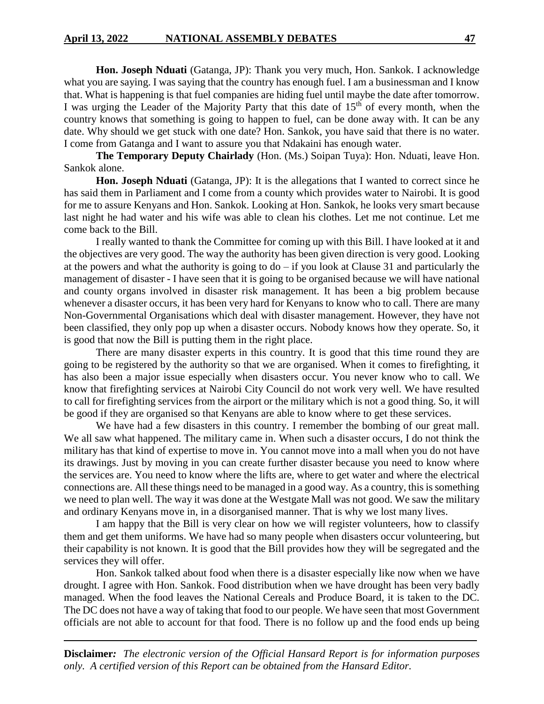**Hon. Joseph Nduati** (Gatanga, JP): Thank you very much, Hon. Sankok. I acknowledge what you are saying. I was saying that the country has enough fuel. I am a businessman and I know that. What is happening is that fuel companies are hiding fuel until maybe the date after tomorrow. I was urging the Leader of the Majority Party that this date of  $15<sup>th</sup>$  of every month, when the country knows that something is going to happen to fuel, can be done away with. It can be any date. Why should we get stuck with one date? Hon. Sankok, you have said that there is no water. I come from Gatanga and I want to assure you that Ndakaini has enough water.

**The Temporary Deputy Chairlady** (Hon. (Ms.) Soipan Tuya): Hon. Nduati, leave Hon. Sankok alone.

**Hon. Joseph Nduati** (Gatanga, JP): It is the allegations that I wanted to correct since he has said them in Parliament and I come from a county which provides water to Nairobi. It is good for me to assure Kenyans and Hon. Sankok. Looking at Hon. Sankok, he looks very smart because last night he had water and his wife was able to clean his clothes. Let me not continue. Let me come back to the Bill.

I really wanted to thank the Committee for coming up with this Bill. I have looked at it and the objectives are very good. The way the authority has been given direction is very good. Looking at the powers and what the authority is going to  $d\sigma - i f$  you look at Clause 31 and particularly the management of disaster - I have seen that it is going to be organised because we will have national and county organs involved in disaster risk management. It has been a big problem because whenever a disaster occurs, it has been very hard for Kenyans to know who to call. There are many Non-Governmental Organisations which deal with disaster management. However, they have not been classified, they only pop up when a disaster occurs. Nobody knows how they operate. So, it is good that now the Bill is putting them in the right place.

There are many disaster experts in this country. It is good that this time round they are going to be registered by the authority so that we are organised. When it comes to firefighting, it has also been a major issue especially when disasters occur. You never know who to call. We know that firefighting services at Nairobi City Council do not work very well. We have resulted to call for firefighting services from the airport or the military which is not a good thing. So, it will be good if they are organised so that Kenyans are able to know where to get these services.

We have had a few disasters in this country. I remember the bombing of our great mall. We all saw what happened. The military came in. When such a disaster occurs, I do not think the military has that kind of expertise to move in. You cannot move into a mall when you do not have its drawings. Just by moving in you can create further disaster because you need to know where the services are. You need to know where the lifts are, where to get water and where the electrical connections are. All these things need to be managed in a good way. As a country, this is something we need to plan well. The way it was done at the Westgate Mall was not good. We saw the military and ordinary Kenyans move in, in a disorganised manner. That is why we lost many lives.

I am happy that the Bill is very clear on how we will register volunteers, how to classify them and get them uniforms. We have had so many people when disasters occur volunteering, but their capability is not known. It is good that the Bill provides how they will be segregated and the services they will offer.

Hon. Sankok talked about food when there is a disaster especially like now when we have drought. I agree with Hon. Sankok. Food distribution when we have drought has been very badly managed. When the food leaves the National Cereals and Produce Board, it is taken to the DC. The DC does not have a way of taking that food to our people. We have seen that most Government officials are not able to account for that food. There is no follow up and the food ends up being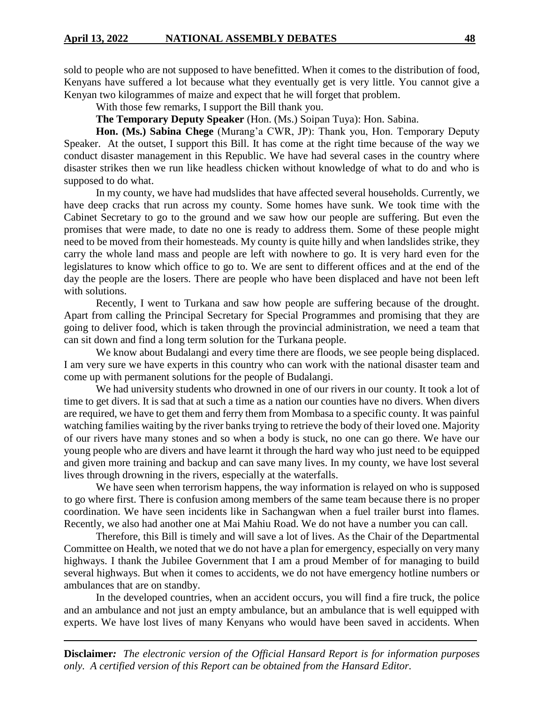sold to people who are not supposed to have benefitted. When it comes to the distribution of food, Kenyans have suffered a lot because what they eventually get is very little. You cannot give a Kenyan two kilogrammes of maize and expect that he will forget that problem.

With those few remarks, I support the Bill thank you.

**The Temporary Deputy Speaker** (Hon. (Ms.) Soipan Tuya): Hon. Sabina.

**Hon. (Ms.) Sabina Chege** (Murang'a CWR, JP): Thank you, Hon. Temporary Deputy Speaker. At the outset, I support this Bill. It has come at the right time because of the way we conduct disaster management in this Republic. We have had several cases in the country where disaster strikes then we run like headless chicken without knowledge of what to do and who is supposed to do what.

In my county, we have had mudslides that have affected several households. Currently, we have deep cracks that run across my county. Some homes have sunk. We took time with the Cabinet Secretary to go to the ground and we saw how our people are suffering. But even the promises that were made, to date no one is ready to address them. Some of these people might need to be moved from their homesteads. My county is quite hilly and when landslides strike, they carry the whole land mass and people are left with nowhere to go. It is very hard even for the legislatures to know which office to go to. We are sent to different offices and at the end of the day the people are the losers. There are people who have been displaced and have not been left with solutions.

Recently, I went to Turkana and saw how people are suffering because of the drought. Apart from calling the Principal Secretary for Special Programmes and promising that they are going to deliver food, which is taken through the provincial administration, we need a team that can sit down and find a long term solution for the Turkana people.

We know about Budalangi and every time there are floods, we see people being displaced. I am very sure we have experts in this country who can work with the national disaster team and come up with permanent solutions for the people of Budalangi.

We had university students who drowned in one of our rivers in our county. It took a lot of time to get divers. It is sad that at such a time as a nation our counties have no divers. When divers are required, we have to get them and ferry them from Mombasa to a specific county. It was painful watching families waiting by the river banks trying to retrieve the body of their loved one. Majority of our rivers have many stones and so when a body is stuck, no one can go there. We have our young people who are divers and have learnt it through the hard way who just need to be equipped and given more training and backup and can save many lives. In my county, we have lost several lives through drowning in the rivers, especially at the waterfalls.

We have seen when terrorism happens, the way information is relayed on who is supposed to go where first. There is confusion among members of the same team because there is no proper coordination. We have seen incidents like in Sachangwan when a fuel trailer burst into flames. Recently, we also had another one at Mai Mahiu Road. We do not have a number you can call.

Therefore, this Bill is timely and will save a lot of lives. As the Chair of the Departmental Committee on Health, we noted that we do not have a plan for emergency, especially on very many highways. I thank the Jubilee Government that I am a proud Member of for managing to build several highways. But when it comes to accidents, we do not have emergency hotline numbers or ambulances that are on standby.

In the developed countries, when an accident occurs, you will find a fire truck, the police and an ambulance and not just an empty ambulance, but an ambulance that is well equipped with experts. We have lost lives of many Kenyans who would have been saved in accidents. When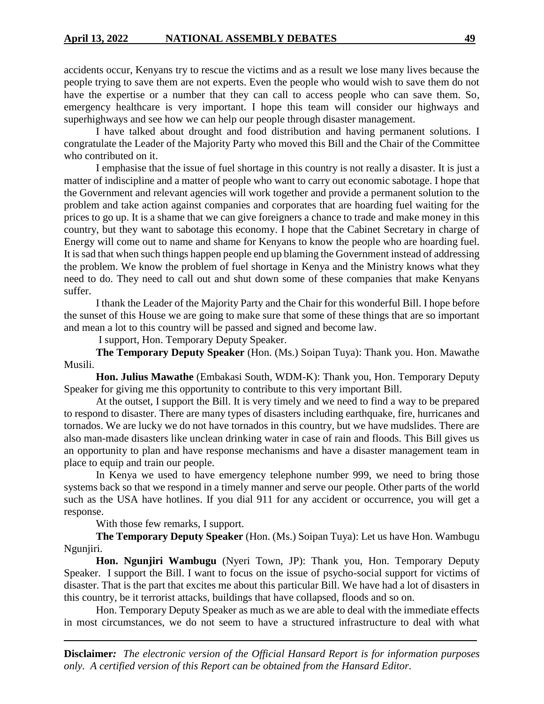accidents occur, Kenyans try to rescue the victims and as a result we lose many lives because the people trying to save them are not experts. Even the people who would wish to save them do not have the expertise or a number that they can call to access people who can save them. So, emergency healthcare is very important. I hope this team will consider our highways and superhighways and see how we can help our people through disaster management.

I have talked about drought and food distribution and having permanent solutions. I congratulate the Leader of the Majority Party who moved this Bill and the Chair of the Committee who contributed on it.

I emphasise that the issue of fuel shortage in this country is not really a disaster. It is just a matter of indiscipline and a matter of people who want to carry out economic sabotage. I hope that the Government and relevant agencies will work together and provide a permanent solution to the problem and take action against companies and corporates that are hoarding fuel waiting for the prices to go up. It is a shame that we can give foreigners a chance to trade and make money in this country, but they want to sabotage this economy. I hope that the Cabinet Secretary in charge of Energy will come out to name and shame for Kenyans to know the people who are hoarding fuel. It is sad that when such things happen people end up blaming the Government instead of addressing the problem. We know the problem of fuel shortage in Kenya and the Ministry knows what they need to do. They need to call out and shut down some of these companies that make Kenyans suffer.

I thank the Leader of the Majority Party and the Chair for this wonderful Bill. I hope before the sunset of this House we are going to make sure that some of these things that are so important and mean a lot to this country will be passed and signed and become law.

I support, Hon. Temporary Deputy Speaker.

**The Temporary Deputy Speaker** (Hon. (Ms.) Soipan Tuya): Thank you. Hon. Mawathe Musili.

**Hon. Julius Mawathe** (Embakasi South, WDM-K): Thank you, Hon. Temporary Deputy Speaker for giving me this opportunity to contribute to this very important Bill.

At the outset, I support the Bill. It is very timely and we need to find a way to be prepared to respond to disaster. There are many types of disasters including earthquake, fire, hurricanes and tornados. We are lucky we do not have tornados in this country, but we have mudslides. There are also man-made disasters like unclean drinking water in case of rain and floods. This Bill gives us an opportunity to plan and have response mechanisms and have a disaster management team in place to equip and train our people.

In Kenya we used to have emergency telephone number 999, we need to bring those systems back so that we respond in a timely manner and serve our people. Other parts of the world such as the USA have hotlines. If you dial 911 for any accident or occurrence, you will get a response.

With those few remarks, I support.

**The Temporary Deputy Speaker** (Hon. (Ms.) Soipan Tuya): Let us have Hon. Wambugu Ngunjiri.

**Hon. Ngunjiri Wambugu** (Nyeri Town, JP): Thank you, Hon. Temporary Deputy Speaker. I support the Bill. I want to focus on the issue of psycho-social support for victims of disaster. That is the part that excites me about this particular Bill. We have had a lot of disasters in this country, be it terrorist attacks, buildings that have collapsed, floods and so on.

Hon. Temporary Deputy Speaker as much as we are able to deal with the immediate effects in most circumstances, we do not seem to have a structured infrastructure to deal with what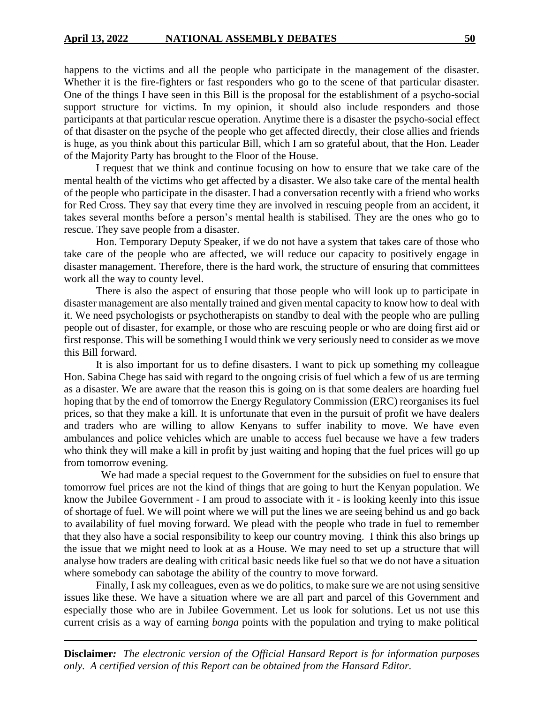happens to the victims and all the people who participate in the management of the disaster. Whether it is the fire-fighters or fast responders who go to the scene of that particular disaster. One of the things I have seen in this Bill is the proposal for the establishment of a psycho-social support structure for victims. In my opinion, it should also include responders and those participants at that particular rescue operation. Anytime there is a disaster the psycho-social effect of that disaster on the psyche of the people who get affected directly, their close allies and friends is huge, as you think about this particular Bill, which I am so grateful about, that the Hon. Leader of the Majority Party has brought to the Floor of the House.

I request that we think and continue focusing on how to ensure that we take care of the mental health of the victims who get affected by a disaster. We also take care of the mental health of the people who participate in the disaster. I had a conversation recently with a friend who works for Red Cross. They say that every time they are involved in rescuing people from an accident, it takes several months before a person's mental health is stabilised. They are the ones who go to rescue. They save people from a disaster.

Hon. Temporary Deputy Speaker, if we do not have a system that takes care of those who take care of the people who are affected, we will reduce our capacity to positively engage in disaster management. Therefore, there is the hard work, the structure of ensuring that committees work all the way to county level.

There is also the aspect of ensuring that those people who will look up to participate in disaster management are also mentally trained and given mental capacity to know how to deal with it. We need psychologists or psychotherapists on standby to deal with the people who are pulling people out of disaster, for example, or those who are rescuing people or who are doing first aid or first response. This will be something I would think we very seriously need to consider as we move this Bill forward.

It is also important for us to define disasters. I want to pick up something my colleague Hon. Sabina Chege has said with regard to the ongoing crisis of fuel which a few of us are terming as a disaster. We are aware that the reason this is going on is that some dealers are hoarding fuel hoping that by the end of tomorrow the Energy Regulatory Commission (ERC) reorganises its fuel prices, so that they make a kill. It is unfortunate that even in the pursuit of profit we have dealers and traders who are willing to allow Kenyans to suffer inability to move. We have even ambulances and police vehicles which are unable to access fuel because we have a few traders who think they will make a kill in profit by just waiting and hoping that the fuel prices will go up from tomorrow evening.

 We had made a special request to the Government for the subsidies on fuel to ensure that tomorrow fuel prices are not the kind of things that are going to hurt the Kenyan population. We know the Jubilee Government - I am proud to associate with it - is looking keenly into this issue of shortage of fuel. We will point where we will put the lines we are seeing behind us and go back to availability of fuel moving forward. We plead with the people who trade in fuel to remember that they also have a social responsibility to keep our country moving. I think this also brings up the issue that we might need to look at as a House. We may need to set up a structure that will analyse how traders are dealing with critical basic needs like fuel so that we do not have a situation where somebody can sabotage the ability of the country to move forward.

Finally, I ask my colleagues, even as we do politics, to make sure we are not using sensitive issues like these. We have a situation where we are all part and parcel of this Government and especially those who are in Jubilee Government. Let us look for solutions. Let us not use this current crisis as a way of earning *bonga* points with the population and trying to make political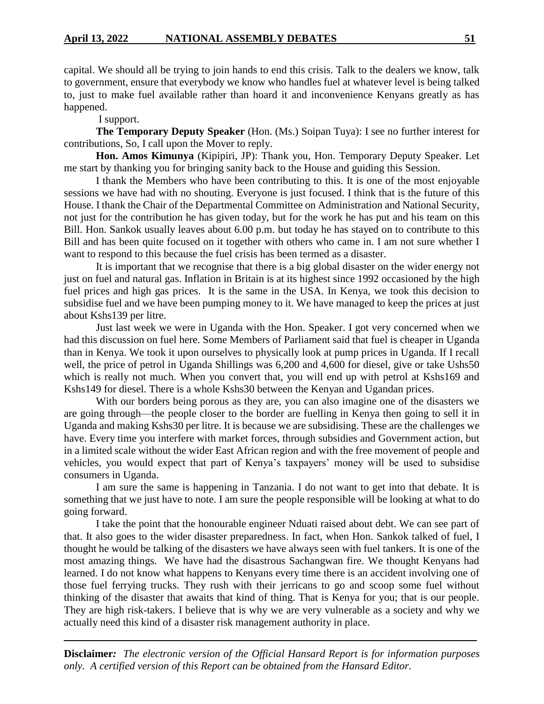capital. We should all be trying to join hands to end this crisis. Talk to the dealers we know, talk to government, ensure that everybody we know who handles fuel at whatever level is being talked to, just to make fuel available rather than hoard it and inconvenience Kenyans greatly as has happened.

I support.

**The Temporary Deputy Speaker** (Hon. (Ms.) Soipan Tuya): I see no further interest for contributions, So, I call upon the Mover to reply.

**Hon. Amos Kimunya** (Kipipiri, JP): Thank you, Hon. Temporary Deputy Speaker. Let me start by thanking you for bringing sanity back to the House and guiding this Session.

I thank the Members who have been contributing to this. It is one of the most enjoyable sessions we have had with no shouting. Everyone is just focused. I think that is the future of this House. I thank the Chair of the Departmental Committee on Administration and National Security, not just for the contribution he has given today, but for the work he has put and his team on this Bill. Hon. Sankok usually leaves about 6.00 p.m. but today he has stayed on to contribute to this Bill and has been quite focused on it together with others who came in. I am not sure whether I want to respond to this because the fuel crisis has been termed as a disaster.

It is important that we recognise that there is a big global disaster on the wider energy not just on fuel and natural gas. Inflation in Britain is at its highest since 1992 occasioned by the high fuel prices and high gas prices. It is the same in the USA. In Kenya, we took this decision to subsidise fuel and we have been pumping money to it. We have managed to keep the prices at just about Kshs139 per litre.

Just last week we were in Uganda with the Hon. Speaker. I got very concerned when we had this discussion on fuel here. Some Members of Parliament said that fuel is cheaper in Uganda than in Kenya. We took it upon ourselves to physically look at pump prices in Uganda. If I recall well, the price of petrol in Uganda Shillings was 6,200 and 4,600 for diesel, give or take Ushs50 which is really not much. When you convert that, you will end up with petrol at Kshs169 and Kshs149 for diesel. There is a whole Kshs30 between the Kenyan and Ugandan prices.

With our borders being porous as they are, you can also imagine one of the disasters we are going through—the people closer to the border are fuelling in Kenya then going to sell it in Uganda and making Kshs30 per litre. It is because we are subsidising. These are the challenges we have. Every time you interfere with market forces, through subsidies and Government action, but in a limited scale without the wider East African region and with the free movement of people and vehicles, you would expect that part of Kenya's taxpayers' money will be used to subsidise consumers in Uganda.

I am sure the same is happening in Tanzania. I do not want to get into that debate. It is something that we just have to note. I am sure the people responsible will be looking at what to do going forward.

I take the point that the honourable engineer Nduati raised about debt. We can see part of that. It also goes to the wider disaster preparedness. In fact, when Hon. Sankok talked of fuel, I thought he would be talking of the disasters we have always seen with fuel tankers. It is one of the most amazing things. We have had the disastrous Sachangwan fire. We thought Kenyans had learned. I do not know what happens to Kenyans every time there is an accident involving one of those fuel ferrying trucks. They rush with their jerricans to go and scoop some fuel without thinking of the disaster that awaits that kind of thing. That is Kenya for you; that is our people. They are high risk-takers. I believe that is why we are very vulnerable as a society and why we actually need this kind of a disaster risk management authority in place.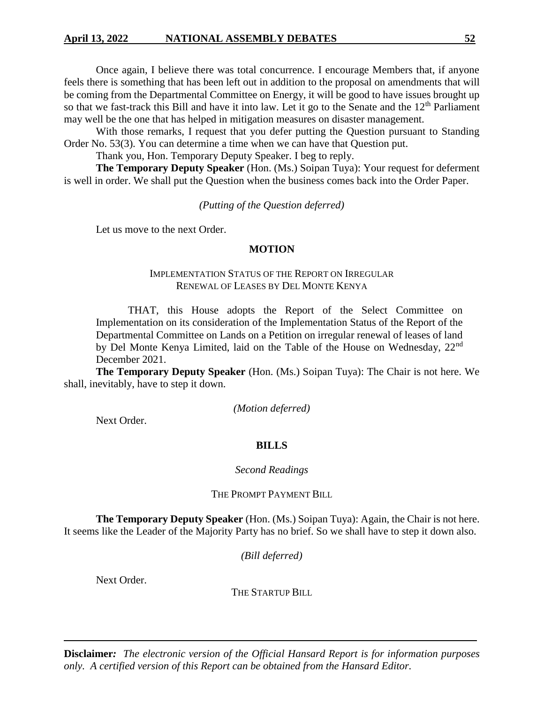Once again, I believe there was total concurrence. I encourage Members that, if anyone feels there is something that has been left out in addition to the proposal on amendments that will be coming from the Departmental Committee on Energy, it will be good to have issues brought up so that we fast-track this Bill and have it into law. Let it go to the Senate and the  $12<sup>th</sup>$  Parliament may well be the one that has helped in mitigation measures on disaster management.

With those remarks, I request that you defer putting the Question pursuant to Standing Order No. 53(3). You can determine a time when we can have that Question put.

Thank you, Hon. Temporary Deputy Speaker. I beg to reply.

**The Temporary Deputy Speaker** (Hon. (Ms.) Soipan Tuya): Your request for deferment is well in order. We shall put the Question when the business comes back into the Order Paper.

*(Putting of the Question deferred)*

Let us move to the next Order.

# **MOTION**

# IMPLEMENTATION STATUS OF THE REPORT ON IRREGULAR RENEWAL OF LEASES BY DEL MONTE KENYA

THAT, this House adopts the Report of the Select Committee on Implementation on its consideration of the Implementation Status of the Report of the Departmental Committee on Lands on a Petition on irregular renewal of leases of land by Del Monte Kenya Limited, laid on the Table of the House on Wednesday, 22<sup>nd</sup> December 2021.

**The Temporary Deputy Speaker** (Hon. (Ms.) Soipan Tuya): The Chair is not here. We shall, inevitably, have to step it down.

*(Motion deferred)*

Next Order.

# **BILLS**

# *Second Readings*

THE PROMPT PAYMENT BILL

**The Temporary Deputy Speaker** (Hon. (Ms.) Soipan Tuya): Again, the Chair is not here. It seems like the Leader of the Majority Party has no brief. So we shall have to step it down also.

*(Bill deferred)*

Next Order.

THE STARTUP BILL